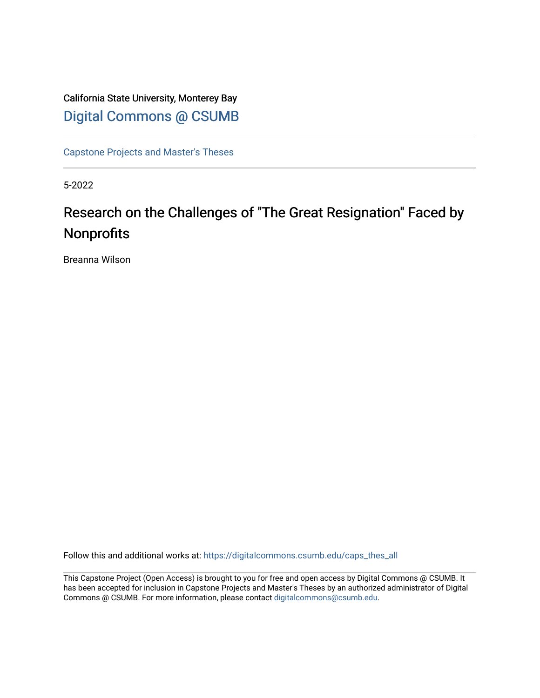## California State University, Monterey Bay [Digital Commons @ CSUMB](https://digitalcommons.csumb.edu/)

[Capstone Projects and Master's Theses](https://digitalcommons.csumb.edu/caps_thes_all)

5-2022

# Research on the Challenges of "The Great Resignation" Faced by Nonprofits

Breanna Wilson

Follow this and additional works at: [https://digitalcommons.csumb.edu/caps\\_thes\\_all](https://digitalcommons.csumb.edu/caps_thes_all?utm_source=digitalcommons.csumb.edu%2Fcaps_thes_all%2F1274&utm_medium=PDF&utm_campaign=PDFCoverPages)

This Capstone Project (Open Access) is brought to you for free and open access by Digital Commons @ CSUMB. It has been accepted for inclusion in Capstone Projects and Master's Theses by an authorized administrator of Digital Commons @ CSUMB. For more information, please contact [digitalcommons@csumb.edu](mailto:digitalcommons@csumb.edu).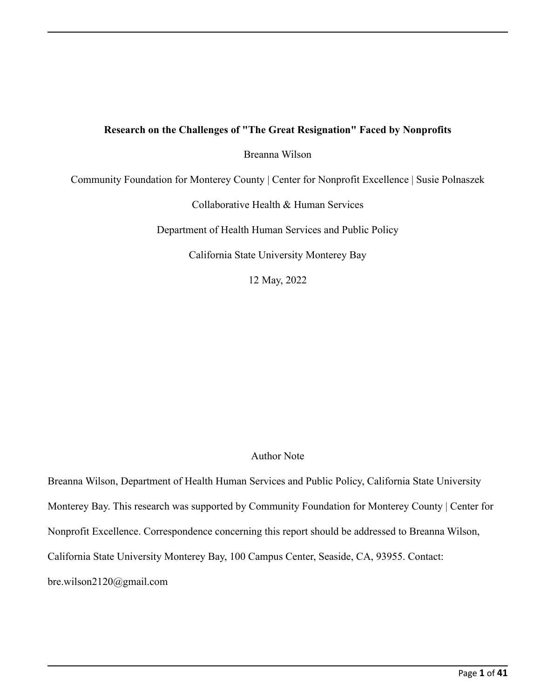## **Research on the Challenges of "The Great Resignation" Faced by Nonprofits**

## Breanna Wilson

Community Foundation for Monterey County | Center for Nonprofit Excellence | Susie Polnaszek

Collaborative Health & Human Services

Department of Health Human Services and Public Policy

California State University Monterey Bay

12 May, 2022

## Author Note

Breanna Wilson, Department of Health Human Services and Public Policy, California State University Monterey Bay. This research was supported by Community Foundation for Monterey County | Center for Nonprofit Excellence. Correspondence concerning this report should be addressed to Breanna Wilson, California State University Monterey Bay, 100 Campus Center, Seaside, CA, 93955. Contact: bre.wilson2120@gmail.com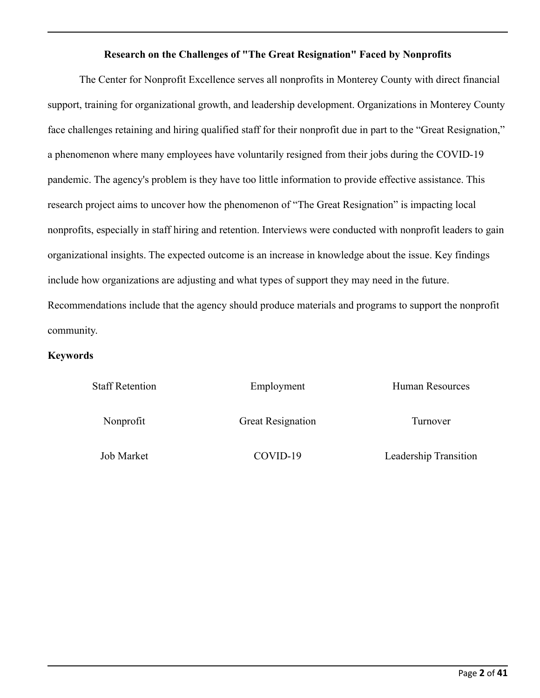## **Research on the Challenges of "The Great Resignation" Faced by Nonprofits**

The Center for Nonprofit Excellence serves all nonprofits in Monterey County with direct financial support, training for organizational growth, and leadership development. Organizations in Monterey County face challenges retaining and hiring qualified staff for their nonprofit due in part to the "Great Resignation," a phenomenon where many employees have voluntarily resigned from their jobs during the COVID-19 pandemic. The agency's problem is they have too little information to provide effective assistance. This research project aims to uncover how the phenomenon of "The Great Resignation" is impacting local nonprofits, especially in staff hiring and retention. Interviews were conducted with nonprofit leaders to gain organizational insights. The expected outcome is an increase in knowledge about the issue. Key findings include how organizations are adjusting and what types of support they may need in the future. Recommendations include that the agency should produce materials and programs to support the nonprofit community.

### **Keywords**

| <b>Staff Retention</b> | Employment               | Human Resources       |
|------------------------|--------------------------|-----------------------|
| Nonprofit              | <b>Great Resignation</b> | Turnover              |
| <b>Job Market</b>      | COVID-19                 | Leadership Transition |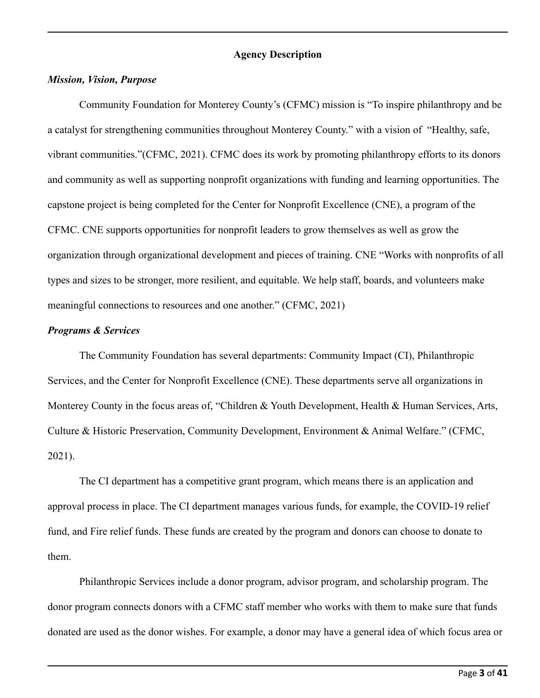#### **Agency Description**

#### *Mission, Vision, Purpose*

Community Foundation for Monterey County's (CFMC) mission is "To inspire philanthropy and be a catalyst for strengthening communities throughout Monterey County." with a vision of "Healthy, safe, vibrant communities."(CFMC, 2021). CFMC does its work by promoting philanthropy efforts to its donors and community as well as supporting nonprofit organizations with funding and learning opportunities. The capstone project is being completed for the Center for Nonprofit Excellence (CNE), a program of the CFMC. CNE supports opportunities for nonprofit leaders to grow themselves as well as grow the organization through organizational development and pieces of training. CNE "Works with nonprofits of all types and sizes to be stronger, more resilient, and equitable. We help staff, boards, and volunteers make meaningful connections to resources and one another." (CFMC, 2021)

### *Programs & Services*

The Community Foundation has several departments: Community Impact (CI), Philanthropic Services, and the Center for Nonprofit Excellence (CNE). These departments serve all organizations in Monterey County in the focus areas of, "Children & Youth Development, Health & Human Services, Arts, Culture & Historic Preservation, Community Development, Environment & Animal Welfare." (CFMC, 2021).

The CI department has a competitive grant program, which means there is an application and approval process in place. The CI department manages various funds, for example, the COVID-19 relief fund, and Fire relief funds. These funds are created by the program and donors can choose to donate to them.

Philanthropic Services include a donor program, advisor program, and scholarship program. The donor program connects donors with a CFMC staff member who works with them to make sure that funds donated are used as the donor wishes. For example, a donor may have a general idea of which focus area or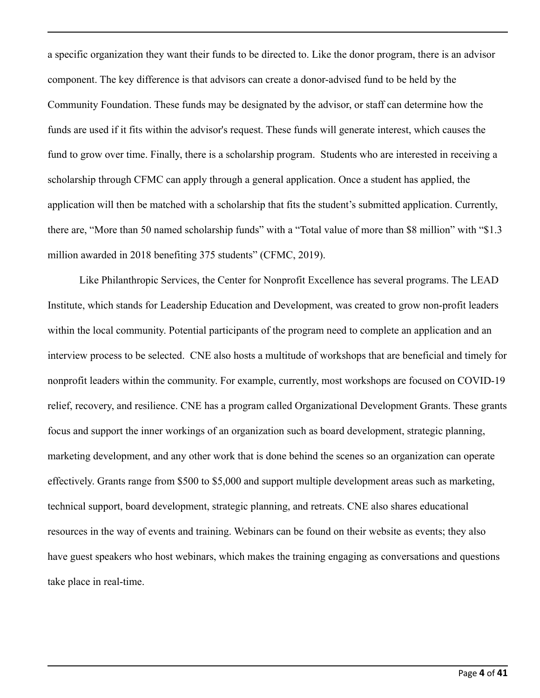a specific organization they want their funds to be directed to. Like the donor program, there is an advisor component. The key difference is that advisors can create a donor-advised fund to be held by the Community Foundation. These funds may be designated by the advisor, or staff can determine how the funds are used if it fits within the advisor's request. These funds will generate interest, which causes the fund to grow over time. Finally, there is a scholarship program. Students who are interested in receiving a scholarship through CFMC can apply through a general application. Once a student has applied, the application will then be matched with a scholarship that fits the student's submitted application. Currently, there are, "More than 50 named scholarship funds" with a "Total value of more than \$8 million" with "\$1.3 million awarded in 2018 benefiting 375 students" (CFMC, 2019).

Like Philanthropic Services, the Center for Nonprofit Excellence has several programs. The LEAD Institute, which stands for Leadership Education and Development, was created to grow non-profit leaders within the local community. Potential participants of the program need to complete an application and an interview process to be selected. CNE also hosts a multitude of workshops that are beneficial and timely for nonprofit leaders within the community. For example, currently, most workshops are focused on COVID-19 relief, recovery, and resilience. CNE has a program called Organizational Development Grants. These grants focus and support the inner workings of an organization such as board development, strategic planning, marketing development, and any other work that is done behind the scenes so an organization can operate effectively. Grants range from \$500 to \$5,000 and support multiple development areas such as marketing, technical support, board development, strategic planning, and retreats. CNE also shares educational resources in the way of events and training. Webinars can be found on their website as events; they also have guest speakers who host webinars, which makes the training engaging as conversations and questions take place in real-time.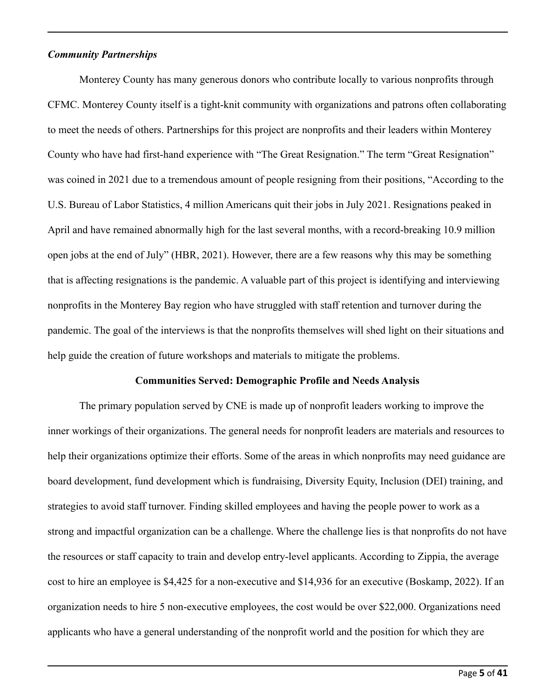#### *Community Partnerships*

Monterey County has many generous donors who contribute locally to various nonprofits through CFMC. Monterey County itself is a tight-knit community with organizations and patrons often collaborating to meet the needs of others. Partnerships for this project are nonprofits and their leaders within Monterey County who have had first-hand experience with "The Great Resignation." The term "Great Resignation" was coined in 2021 due to a tremendous amount of people resigning from their positions, "According to the U.S. Bureau of Labor Statistics, 4 million Americans quit their jobs in July 2021. Resignations peaked in April and have remained abnormally high for the last several months, with a record-breaking 10.9 million open jobs at the end of July" (HBR, 2021). However, there are a few reasons why this may be something that is affecting resignations is the pandemic. A valuable part of this project is identifying and interviewing nonprofits in the Monterey Bay region who have struggled with staff retention and turnover during the pandemic. The goal of the interviews is that the nonprofits themselves will shed light on their situations and help guide the creation of future workshops and materials to mitigate the problems.

#### **Communities Served: Demographic Profile and Needs Analysis**

The primary population served by CNE is made up of nonprofit leaders working to improve the inner workings of their organizations. The general needs for nonprofit leaders are materials and resources to help their organizations optimize their efforts. Some of the areas in which nonprofits may need guidance are board development, fund development which is fundraising, Diversity Equity, Inclusion (DEI) training, and strategies to avoid staff turnover. Finding skilled employees and having the people power to work as a strong and impactful organization can be a challenge. Where the challenge lies is that nonprofits do not have the resources or staff capacity to train and develop entry-level applicants. According to Zippia, the average cost to hire an employee is \$4,425 for a non-executive and \$14,936 for an executive (Boskamp, 2022). If an organization needs to hire 5 non-executive employees, the cost would be over \$22,000. Organizations need applicants who have a general understanding of the nonprofit world and the position for which they are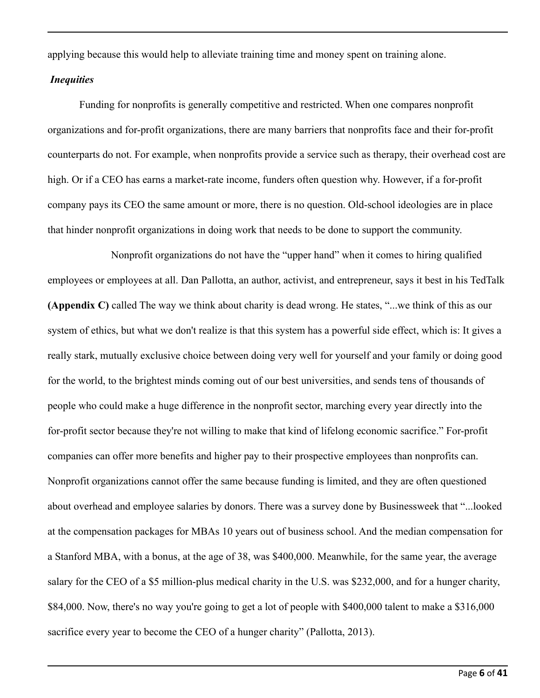applying because this would help to alleviate training time and money spent on training alone.

### *Inequities*

Funding for nonprofits is generally competitive and restricted. When one compares nonprofit organizations and for-profit organizations, there are many barriers that nonprofits face and their for-profit counterparts do not. For example, when nonprofits provide a service such as therapy, their overhead cost are high. Or if a CEO has earns a market-rate income, funders often question why. However, if a for-profit company pays its CEO the same amount or more, there is no question. Old-school ideologies are in place that hinder nonprofit organizations in doing work that needs to be done to support the community.

Nonprofit organizations do not have the "upper hand" when it comes to hiring qualified employees or employees at all. Dan Pallotta, an author, activist, and entrepreneur, says it best in his TedTalk **(Appendix C)** called The way we think about charity is dead wrong. He states, "...we think of this as our system of ethics, but what we don't realize is that this system has a powerful side effect, which is: It gives a really stark, mutually exclusive choice between doing very well for yourself and your family or doing good for the world, to the brightest minds coming out of our best universities, and sends tens of thousands of people who could make a huge difference in the nonprofit sector, marching every year directly into the for-profit sector because they're not willing to make that kind of lifelong economic sacrifice." For-profit companies can offer more benefits and higher pay to their prospective employees than nonprofits can. Nonprofit organizations cannot offer the same because funding is limited, and they are often questioned about overhead and employee salaries by donors. There was a survey done by Businessweek that "...looked at the compensation packages for MBAs 10 years out of business school. And the median compensation for a Stanford MBA, with a bonus, at the age of 38, was \$400,000. Meanwhile, for the same year, the average salary for the CEO of a \$5 million-plus medical charity in the U.S. was \$232,000, and for a hunger charity, \$84,000. Now, there's no way you're going to get a lot of people with \$400,000 talent to make a \$316,000 sacrifice every year to become the CEO of a hunger charity" (Pallotta, 2013).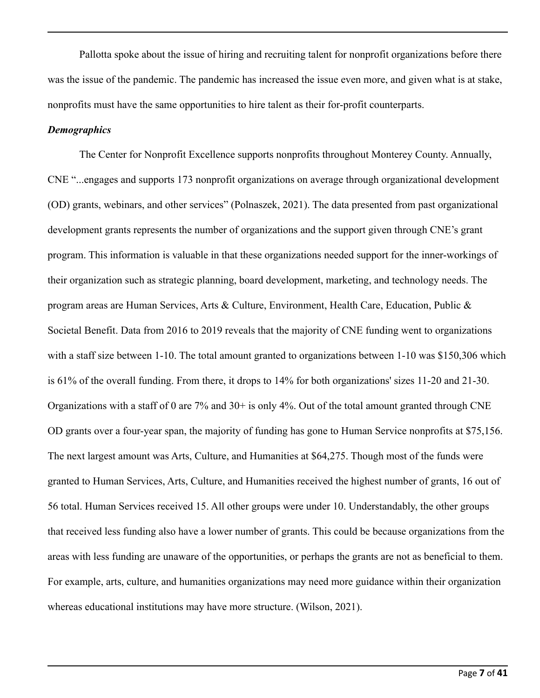Pallotta spoke about the issue of hiring and recruiting talent for nonprofit organizations before there was the issue of the pandemic. The pandemic has increased the issue even more, and given what is at stake, nonprofits must have the same opportunities to hire talent as their for-profit counterparts.

#### *Demographics*

The Center for Nonprofit Excellence supports nonprofits throughout Monterey County. Annually, CNE "...engages and supports 173 nonprofit organizations on average through organizational development (OD) grants, webinars, and other services" (Polnaszek, 2021). The data presented from past organizational development grants represents the number of organizations and the support given through CNE's grant program. This information is valuable in that these organizations needed support for the inner-workings of their organization such as strategic planning, board development, marketing, and technology needs. The program areas are Human Services, Arts & Culture, Environment, Health Care, Education, Public & Societal Benefit. Data from 2016 to 2019 reveals that the majority of CNE funding went to organizations with a staff size between 1-10. The total amount granted to organizations between 1-10 was \$150,306 which is 61% of the overall funding. From there, it drops to 14% for both organizations' sizes 11-20 and 21-30. Organizations with a staff of 0 are 7% and 30+ is only 4%. Out of the total amount granted through CNE OD grants over a four-year span, the majority of funding has gone to Human Service nonprofits at \$75,156. The next largest amount was Arts, Culture, and Humanities at \$64,275. Though most of the funds were granted to Human Services, Arts, Culture, and Humanities received the highest number of grants, 16 out of 56 total. Human Services received 15. All other groups were under 10. Understandably, the other groups that received less funding also have a lower number of grants. This could be because organizations from the areas with less funding are unaware of the opportunities, or perhaps the grants are not as beneficial to them. For example, arts, culture, and humanities organizations may need more guidance within their organization whereas educational institutions may have more structure. (Wilson, 2021).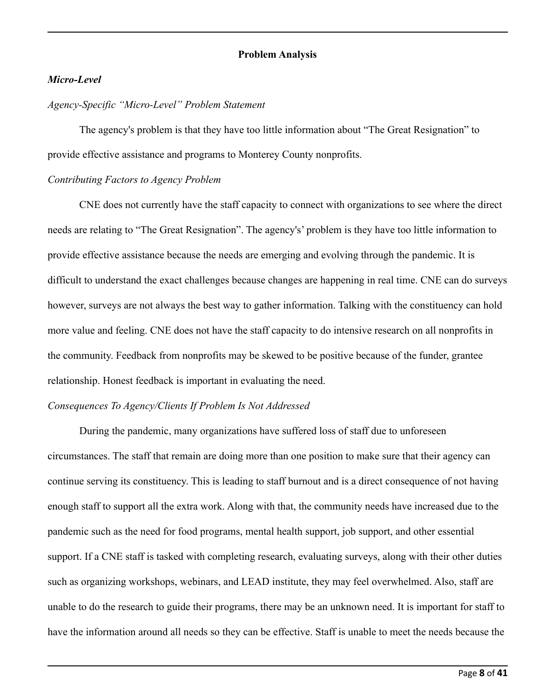#### **Problem Analysis**

### *Micro-Level*

#### *Agency-Specific "Micro-Level" Problem Statement*

The agency's problem is that they have too little information about "The Great Resignation" to provide effective assistance and programs to Monterey County nonprofits.

### *Contributing Factors to Agency Problem*

CNE does not currently have the staff capacity to connect with organizations to see where the direct needs are relating to "The Great Resignation". The agency's' problem is they have too little information to provide effective assistance because the needs are emerging and evolving through the pandemic. It is difficult to understand the exact challenges because changes are happening in real time. CNE can do surveys however, surveys are not always the best way to gather information. Talking with the constituency can hold more value and feeling. CNE does not have the staff capacity to do intensive research on all nonprofits in the community. Feedback from nonprofits may be skewed to be positive because of the funder, grantee relationship. Honest feedback is important in evaluating the need.

### *Consequences To Agency/Clients If Problem Is Not Addressed*

During the pandemic, many organizations have suffered loss of staff due to unforeseen circumstances. The staff that remain are doing more than one position to make sure that their agency can continue serving its constituency. This is leading to staff burnout and is a direct consequence of not having enough staff to support all the extra work. Along with that, the community needs have increased due to the pandemic such as the need for food programs, mental health support, job support, and other essential support. If a CNE staff is tasked with completing research, evaluating surveys, along with their other duties such as organizing workshops, webinars, and LEAD institute, they may feel overwhelmed. Also, staff are unable to do the research to guide their programs, there may be an unknown need. It is important for staff to have the information around all needs so they can be effective. Staff is unable to meet the needs because the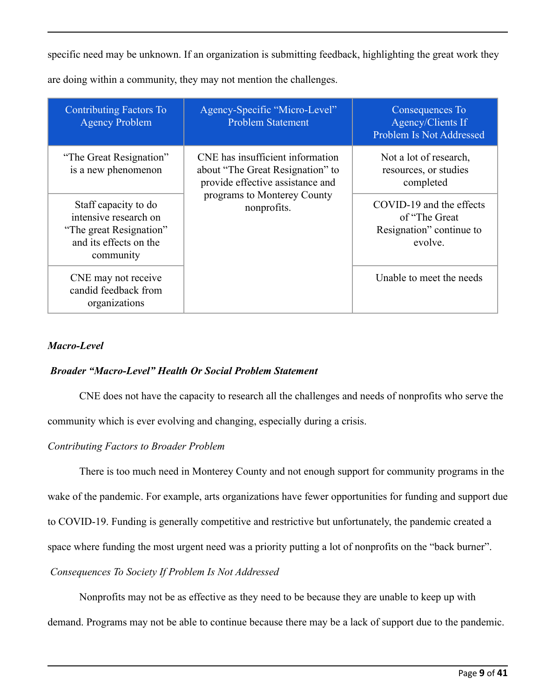specific need may be unknown. If an organization is submitting feedback, highlighting the great work they are doing within a community, they may not mention the challenges.

| <b>Contributing Factors To</b><br><b>Agency Problem</b>                                                         | Agency-Specific "Micro-Level"<br><b>Problem Statement</b>                                                | Consequences To<br>Agency/Clients If<br>Problem Is Not Addressed                  |
|-----------------------------------------------------------------------------------------------------------------|----------------------------------------------------------------------------------------------------------|-----------------------------------------------------------------------------------|
| "The Great Resignation"<br>is a new phenomenon                                                                  | CNE has insufficient information<br>about "The Great Resignation" to<br>provide effective assistance and | Not a lot of research,<br>resources, or studies<br>completed                      |
| Staff capacity to do<br>intensive research on<br>"The great Resignation"<br>and its effects on the<br>community | programs to Monterey County<br>nonprofits.                                                               | COVID-19 and the effects<br>of "The Great"<br>Resignation" continue to<br>evolve. |
| CNE may not receive<br>candid feedback from<br>organizations                                                    |                                                                                                          | Unable to meet the needs                                                          |

## *Macro-Level*

## *Broader "Macro-Level" Health Or Social Problem Statement*

CNE does not have the capacity to research all the challenges and needs of nonprofits who serve the community which is ever evolving and changing, especially during a crisis.

## *Contributing Factors to Broader Problem*

There is too much need in Monterey County and not enough support for community programs in the

wake of the pandemic. For example, arts organizations have fewer opportunities for funding and support due

to COVID-19. Funding is generally competitive and restrictive but unfortunately, the pandemic created a

space where funding the most urgent need was a priority putting a lot of nonprofits on the "back burner".

## *Consequences To Society If Problem Is Not Addressed*

Nonprofits may not be as effective as they need to be because they are unable to keep up with

demand. Programs may not be able to continue because there may be a lack of support due to the pandemic.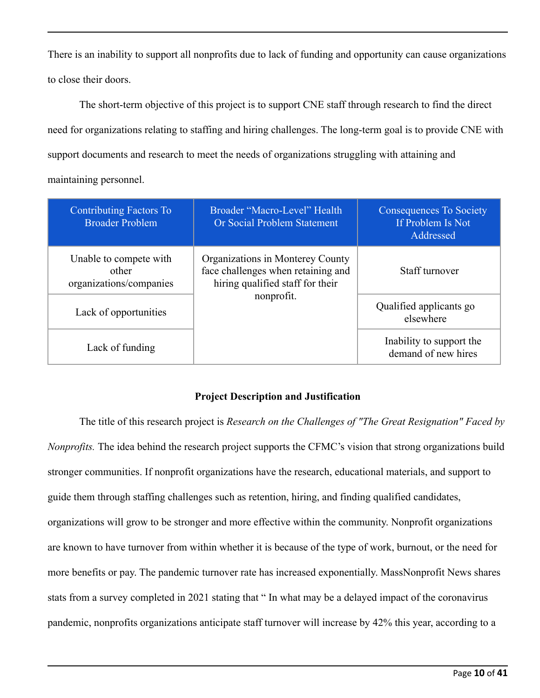There is an inability to support all nonprofits due to lack of funding and opportunity can cause organizations to close their doors.

The short-term objective of this project is to support CNE staff through research to find the direct need for organizations relating to staffing and hiring challenges. The long-term goal is to provide CNE with support documents and research to meet the needs of organizations struggling with attaining and maintaining personnel.

| <b>Contributing Factors To</b><br><b>Broader Problem</b>   | Broader "Macro-Level" Health<br>Or Social Problem Statement                                                | <b>Consequences To Society</b><br>If Problem Is Not<br>Addressed |
|------------------------------------------------------------|------------------------------------------------------------------------------------------------------------|------------------------------------------------------------------|
| Unable to compete with<br>other<br>organizations/companies | Organizations in Monterey County<br>face challenges when retaining and<br>hiring qualified staff for their | Staff turnover                                                   |
| Lack of opportunities                                      | nonprofit.                                                                                                 | Qualified applicants go<br>elsewhere                             |
| Lack of funding                                            |                                                                                                            | Inability to support the<br>demand of new hires                  |

## **Project Description and Justification**

The title of this research project is *Research on the Challenges of "The Great Resignation" Faced by Nonprofits.* The idea behind the research project supports the CFMC's vision that strong organizations build stronger communities. If nonprofit organizations have the research, educational materials, and support to guide them through staffing challenges such as retention, hiring, and finding qualified candidates, organizations will grow to be stronger and more effective within the community. Nonprofit organizations are known to have turnover from within whether it is because of the type of work, burnout, or the need for more benefits or pay. The pandemic turnover rate has increased exponentially. MassNonprofit News shares stats from a survey completed in 2021 stating that " In what may be a delayed impact of the coronavirus pandemic, nonprofits organizations anticipate staff turnover will increase by 42% this year, according to a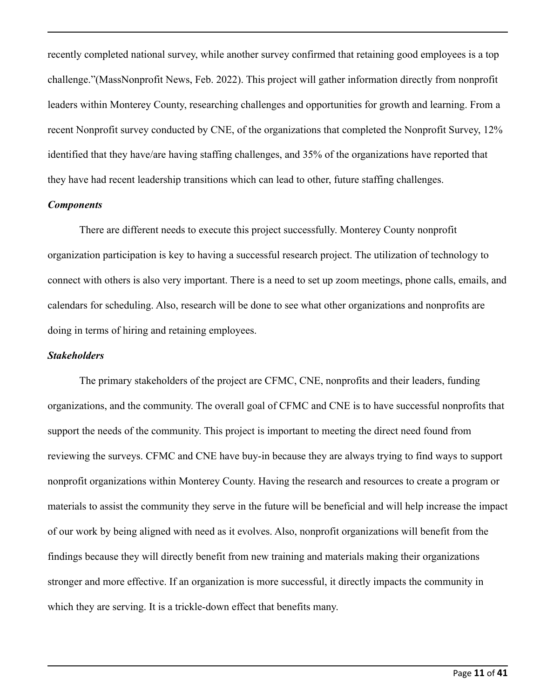recently completed national survey, while another survey confirmed that retaining good employees is a top challenge."(MassNonprofit News, Feb. 2022). This project will gather information directly from nonprofit leaders within Monterey County, researching challenges and opportunities for growth and learning. From a recent Nonprofit survey conducted by CNE, of the organizations that completed the Nonprofit Survey, 12% identified that they have/are having staffing challenges, and 35% of the organizations have reported that they have had recent leadership transitions which can lead to other, future staffing challenges.

### *Components*

There are different needs to execute this project successfully. Monterey County nonprofit organization participation is key to having a successful research project. The utilization of technology to connect with others is also very important. There is a need to set up zoom meetings, phone calls, emails, and calendars for scheduling. Also, research will be done to see what other organizations and nonprofits are doing in terms of hiring and retaining employees.

### *Stakeholders*

The primary stakeholders of the project are CFMC, CNE, nonprofits and their leaders, funding organizations, and the community. The overall goal of CFMC and CNE is to have successful nonprofits that support the needs of the community. This project is important to meeting the direct need found from reviewing the surveys. CFMC and CNE have buy-in because they are always trying to find ways to support nonprofit organizations within Monterey County. Having the research and resources to create a program or materials to assist the community they serve in the future will be beneficial and will help increase the impact of our work by being aligned with need as it evolves. Also, nonprofit organizations will benefit from the findings because they will directly benefit from new training and materials making their organizations stronger and more effective. If an organization is more successful, it directly impacts the community in which they are serving. It is a trickle-down effect that benefits many.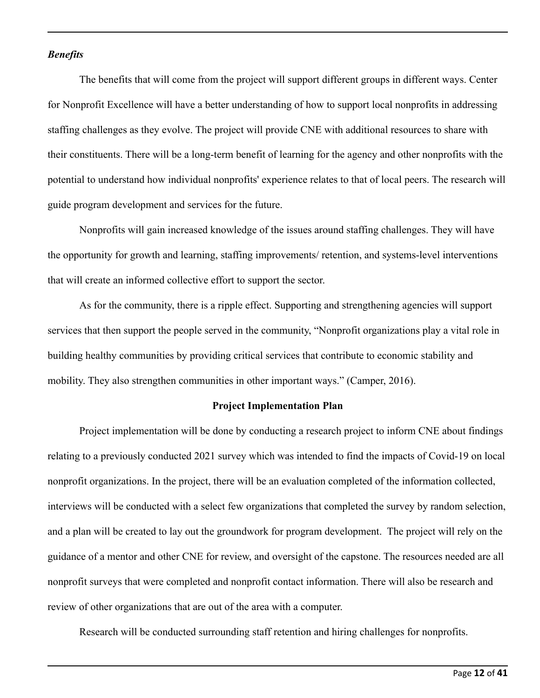#### *Benefits*

The benefits that will come from the project will support different groups in different ways. Center for Nonprofit Excellence will have a better understanding of how to support local nonprofits in addressing staffing challenges as they evolve. The project will provide CNE with additional resources to share with their constituents. There will be a long-term benefit of learning for the agency and other nonprofits with the potential to understand how individual nonprofits' experience relates to that of local peers. The research will guide program development and services for the future.

Nonprofits will gain increased knowledge of the issues around staffing challenges. They will have the opportunity for growth and learning, staffing improvements/ retention, and systems-level interventions that will create an informed collective effort to support the sector.

As for the community, there is a ripple effect. Supporting and strengthening agencies will support services that then support the people served in the community, "Nonprofit organizations play a vital role in building healthy communities by providing critical services that contribute to economic stability and mobility. They also strengthen communities in other important ways." (Camper, 2016).

#### **Project Implementation Plan**

Project implementation will be done by conducting a research project to inform CNE about findings relating to a previously conducted 2021 survey which was intended to find the impacts of Covid-19 on local nonprofit organizations. In the project, there will be an evaluation completed of the information collected, interviews will be conducted with a select few organizations that completed the survey by random selection, and a plan will be created to lay out the groundwork for program development. The project will rely on the guidance of a mentor and other CNE for review, and oversight of the capstone. The resources needed are all nonprofit surveys that were completed and nonprofit contact information. There will also be research and review of other organizations that are out of the area with a computer.

Research will be conducted surrounding staff retention and hiring challenges for nonprofits.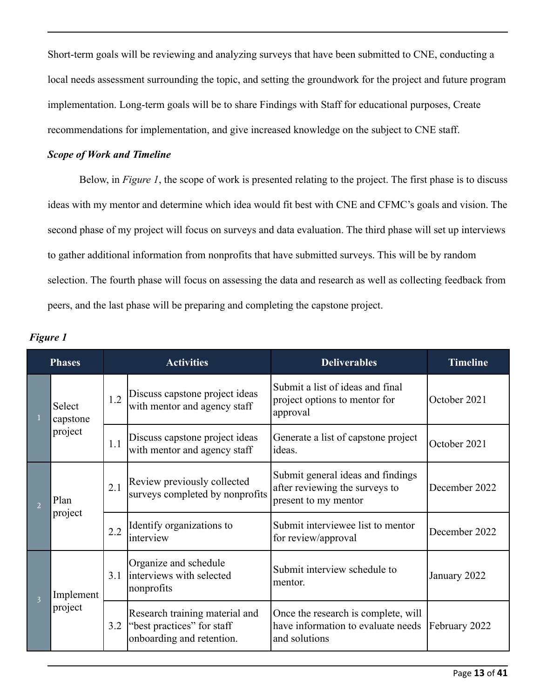Short-term goals will be reviewing and analyzing surveys that have been submitted to CNE, conducting a local needs assessment surrounding the topic, and setting the groundwork for the project and future program implementation. Long-term goals will be to share Findings with Staff for educational purposes, Create recommendations for implementation, and give increased knowledge on the subject to CNE staff.

## *Scope of Work and Timeline*

Below, in *Figure 1*, the scope of work is presented relating to the project. The first phase is to discuss ideas with my mentor and determine which idea would fit best with CNE and CFMC's goals and vision. The second phase of my project will focus on surveys and data evaluation. The third phase will set up interviews to gather additional information from nonprofits that have submitted surveys. This will be by random selection. The fourth phase will focus on assessing the data and research as well as collecting feedback from peers, and the last phase will be preparing and completing the capstone project.

|                | <b>Phases</b>                 |     | <b>Activities</b>                                                                         | <b>Deliverables</b>                                                                         | <b>Timeline</b> |
|----------------|-------------------------------|-----|-------------------------------------------------------------------------------------------|---------------------------------------------------------------------------------------------|-----------------|
|                | Select<br>capstone<br>project | 1.2 | Discuss capstone project ideas<br>with mentor and agency staff                            | Submit a list of ideas and final<br>project options to mentor for<br>approval               | October 2021    |
|                |                               | 1.1 | Discuss capstone project ideas<br>with mentor and agency staff                            | Generate a list of capstone project<br>ideas.                                               | October 2021    |
| $\overline{2}$ | Plan<br>project               | 2.1 | Review previously collected<br>surveys completed by nonprofits                            | Submit general ideas and findings<br>after reviewing the surveys to<br>present to my mentor | December 2022   |
|                |                               | 2.2 | Identify organizations to<br>interview                                                    | Submit interviewee list to mentor<br>for review/approval                                    | December 2022   |
| 3              | Implement<br>project          | 3.1 | Organize and schedule<br>interviews with selected<br>nonprofits                           | Submit interview schedule to<br>mentor.                                                     | January 2022    |
|                |                               | 3.2 | Research training material and<br>"best practices" for staff<br>onboarding and retention. | Once the research is complete, will<br>have information to evaluate needs<br>and solutions  | February 2022   |

*Figure 1*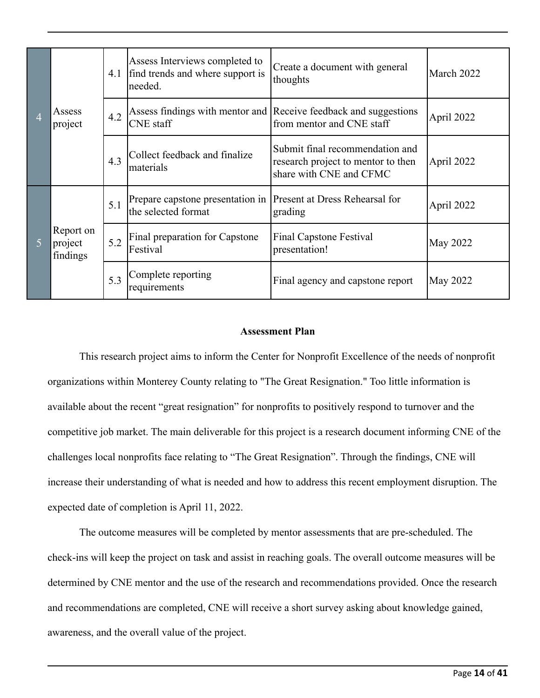| $\overline{4}$ | Assess<br>project                |     | Assess Interviews completed to<br>4.1 find trends and where support is<br>needed. | Create a document with general<br>thoughts                                                       | March 2022      |
|----------------|----------------------------------|-----|-----------------------------------------------------------------------------------|--------------------------------------------------------------------------------------------------|-----------------|
|                |                                  | 4.2 | <b>CNE</b> staff                                                                  | Assess findings with mentor and Receive feedback and suggestions<br>from mentor and CNE staff    | April 2022      |
|                |                                  | 4.3 | Collect feedback and finalize<br>materials                                        | Submit final recommendation and<br>research project to mentor to then<br>share with CNE and CFMC | April 2022      |
| 5              | Report on<br>project<br>findings | 5.1 | Prepare capstone presentation in<br>the selected format                           | <b>Present at Dress Rehearsal for</b><br>grading                                                 | April 2022      |
|                |                                  | 5.2 | Final preparation for Capstone<br>Festival                                        | <b>Final Capstone Festival</b><br>presentation!                                                  | <b>May 2022</b> |
|                |                                  | 5.3 | Complete reporting<br>requirements                                                | Final agency and capstone report                                                                 | May 2022        |

#### **Assessment Plan**

This research project aims to inform the Center for Nonprofit Excellence of the needs of nonprofit organizations within Monterey County relating to "The Great Resignation." Too little information is available about the recent "great resignation" for nonprofits to positively respond to turnover and the competitive job market. The main deliverable for this project is a research document informing CNE of the challenges local nonprofits face relating to "The Great Resignation". Through the findings, CNE will increase their understanding of what is needed and how to address this recent employment disruption. The expected date of completion is April 11, 2022.

The outcome measures will be completed by mentor assessments that are pre-scheduled. The check-ins will keep the project on task and assist in reaching goals. The overall outcome measures will be determined by CNE mentor and the use of the research and recommendations provided. Once the research and recommendations are completed, CNE will receive a short survey asking about knowledge gained, awareness, and the overall value of the project.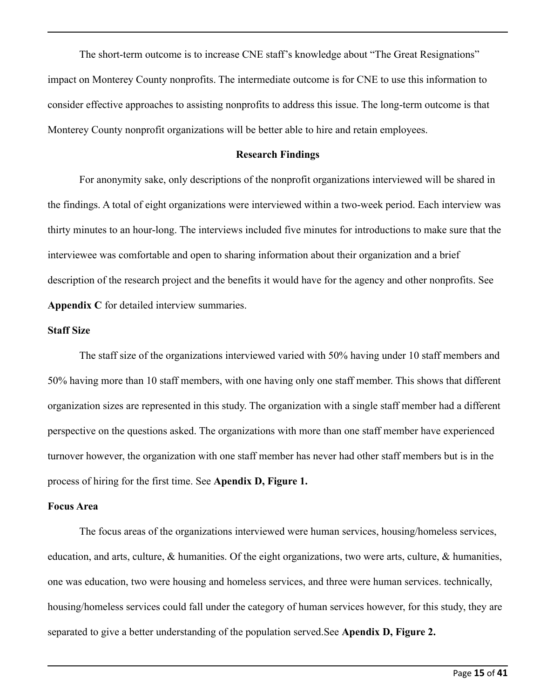The short-term outcome is to increase CNE staff's knowledge about "The Great Resignations" impact on Monterey County nonprofits. The intermediate outcome is for CNE to use this information to consider effective approaches to assisting nonprofits to address this issue. The long-term outcome is that Monterey County nonprofit organizations will be better able to hire and retain employees.

#### **Research Findings**

For anonymity sake, only descriptions of the nonprofit organizations interviewed will be shared in the findings. A total of eight organizations were interviewed within a two-week period. Each interview was thirty minutes to an hour-long. The interviews included five minutes for introductions to make sure that the interviewee was comfortable and open to sharing information about their organization and a brief description of the research project and the benefits it would have for the agency and other nonprofits. See **Appendix C** for detailed interview summaries.

#### **Staff Size**

The staff size of the organizations interviewed varied with 50% having under 10 staff members and 50% having more than 10 staff members, with one having only one staff member. This shows that different organization sizes are represented in this study. The organization with a single staff member had a different perspective on the questions asked. The organizations with more than one staff member have experienced turnover however, the organization with one staff member has never had other staff members but is in the process of hiring for the first time. See **Apendix D, Figure 1.**

### **Focus Area**

The focus areas of the organizations interviewed were human services, housing/homeless services, education, and arts, culture, & humanities. Of the eight organizations, two were arts, culture, & humanities, one was education, two were housing and homeless services, and three were human services. technically, housing/homeless services could fall under the category of human services however, for this study, they are separated to give a better understanding of the population served.See **Apendix D, Figure 2.**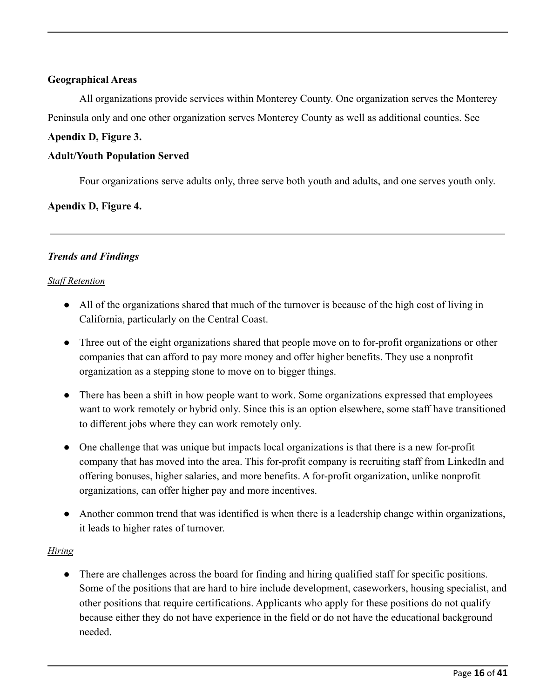## **Geographical Areas**

All organizations provide services within Monterey County. One organization serves the Monterey Peninsula only and one other organization serves Monterey County as well as additional counties. See

## **Apendix D, Figure 3.**

## **Adult/Youth Population Served**

Four organizations serve adults only, three serve both youth and adults, and one serves youth only.

## **Apendix D, Figure 4.**

## *Trends and Findings*

## *Staf Retention*

- All of the organizations shared that much of the turnover is because of the high cost of living in California, particularly on the Central Coast.
- Three out of the eight organizations shared that people move on to for-profit organizations or other companies that can afford to pay more money and offer higher benefits. They use a nonprofit organization as a stepping stone to move on to bigger things.
- There has been a shift in how people want to work. Some organizations expressed that employees want to work remotely or hybrid only. Since this is an option elsewhere, some staff have transitioned to different jobs where they can work remotely only.
- One challenge that was unique but impacts local organizations is that there is a new for-profit company that has moved into the area. This for-profit company is recruiting staff from LinkedIn and offering bonuses, higher salaries, and more benefits. A for-profit organization, unlike nonprofit organizations, can offer higher pay and more incentives.
- Another common trend that was identified is when there is a leadership change within organizations, it leads to higher rates of turnover.

## *Hiring*

• There are challenges across the board for finding and hiring qualified staff for specific positions. Some of the positions that are hard to hire include development, caseworkers, housing specialist, and other positions that require certifications. Applicants who apply for these positions do not qualify because either they do not have experience in the field or do not have the educational background needed.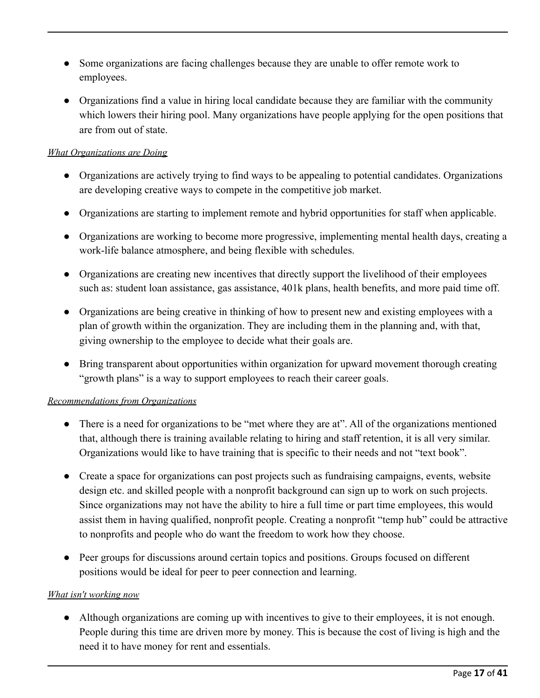- Some organizations are facing challenges because they are unable to offer remote work to employees.
- Organizations find a value in hiring local candidate because they are familiar with the community which lowers their hiring pool. Many organizations have people applying for the open positions that are from out of state.

## *What Organizations are Doing*

- Organizations are actively trying to find ways to be appealing to potential candidates. Organizations are developing creative ways to compete in the competitive job market.
- Organizations are starting to implement remote and hybrid opportunities for staff when applicable.
- Organizations are working to become more progressive, implementing mental health days, creating a work-life balance atmosphere, and being flexible with schedules.
- Organizations are creating new incentives that directly support the livelihood of their employees such as: student loan assistance, gas assistance, 401k plans, health benefits, and more paid time off.
- Organizations are being creative in thinking of how to present new and existing employees with a plan of growth within the organization. They are including them in the planning and, with that, giving ownership to the employee to decide what their goals are.
- Bring transparent about opportunities within organization for upward movement thorough creating "growth plans" is a way to support employees to reach their career goals.

## *Recommendations from Organizations*

- There is a need for organizations to be "met where they are at". All of the organizations mentioned that, although there is training available relating to hiring and staff retention, it is all very similar. Organizations would like to have training that is specific to their needs and not "text book".
- Create a space for organizations can post projects such as fundraising campaigns, events, website design etc. and skilled people with a nonprofit background can sign up to work on such projects. Since organizations may not have the ability to hire a full time or part time employees, this would assist them in having qualified, nonprofit people. Creating a nonprofit "temp hub" could be attractive to nonprofits and people who do want the freedom to work how they choose.
- Peer groups for discussions around certain topics and positions. Groups focused on different positions would be ideal for peer to peer connection and learning.

## *What isn't working now*

● Although organizations are coming up with incentives to give to their employees, it is not enough. People during this time are driven more by money. This is because the cost of living is high and the need it to have money for rent and essentials.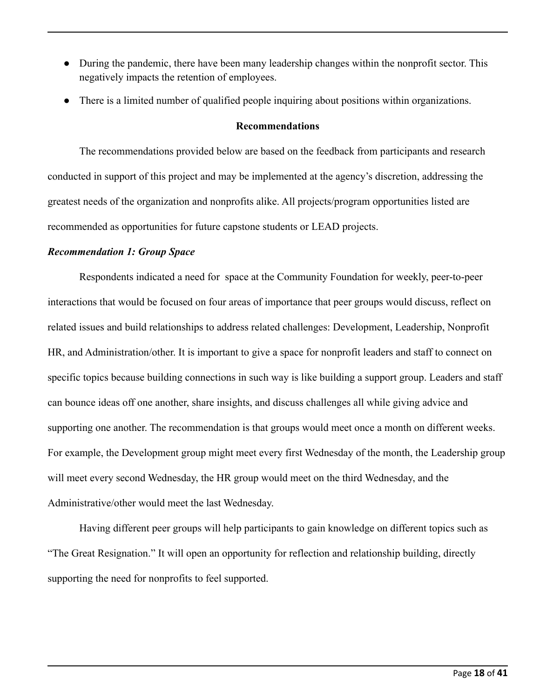- During the pandemic, there have been many leadership changes within the nonprofit sector. This negatively impacts the retention of employees.
- There is a limited number of qualified people inquiring about positions within organizations.

## **Recommendations**

The recommendations provided below are based on the feedback from participants and research conducted in support of this project and may be implemented at the agency's discretion, addressing the greatest needs of the organization and nonprofits alike. All projects/program opportunities listed are recommended as opportunities for future capstone students or LEAD projects.

## *Recommendation 1: Group Space*

Respondents indicated a need for space at the Community Foundation for weekly, peer-to-peer interactions that would be focused on four areas of importance that peer groups would discuss, reflect on related issues and build relationships to address related challenges: Development, Leadership, Nonprofit HR, and Administration/other. It is important to give a space for nonprofit leaders and staff to connect on specific topics because building connections in such way is like building a support group. Leaders and staff can bounce ideas off one another, share insights, and discuss challenges all while giving advice and supporting one another. The recommendation is that groups would meet once a month on different weeks. For example, the Development group might meet every first Wednesday of the month, the Leadership group will meet every second Wednesday, the HR group would meet on the third Wednesday, and the Administrative/other would meet the last Wednesday.

Having different peer groups will help participants to gain knowledge on different topics such as "The Great Resignation." It will open an opportunity for reflection and relationship building, directly supporting the need for nonprofits to feel supported.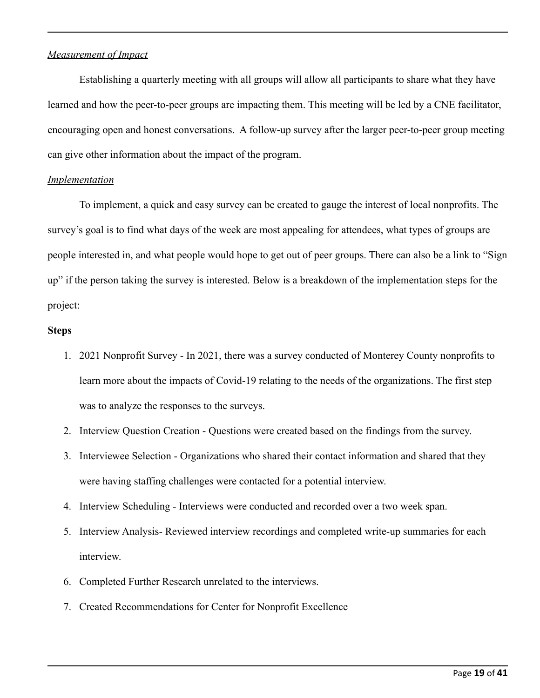## *Measurement of Impact*

Establishing a quarterly meeting with all groups will allow all participants to share what they have learned and how the peer-to-peer groups are impacting them. This meeting will be led by a CNE facilitator, encouraging open and honest conversations. A follow-up survey after the larger peer-to-peer group meeting can give other information about the impact of the program.

## *Implementation*

To implement, a quick and easy survey can be created to gauge the interest of local nonprofits. The survey's goal is to find what days of the week are most appealing for attendees, what types of groups are people interested in, and what people would hope to get out of peer groups. There can also be a link to "Sign up" if the person taking the survey is interested. Below is a breakdown of the implementation steps for the project:

## **Steps**

- 1. 2021 Nonprofit Survey In 2021, there was a survey conducted of Monterey County nonprofits to learn more about the impacts of Covid-19 relating to the needs of the organizations. The first step was to analyze the responses to the surveys.
- 2. Interview Question Creation Questions were created based on the findings from the survey.
- 3. Interviewee Selection Organizations who shared their contact information and shared that they were having staffing challenges were contacted for a potential interview.
- 4. Interview Scheduling Interviews were conducted and recorded over a two week span.
- 5. Interview Analysis- Reviewed interview recordings and completed write-up summaries for each interview.
- 6. Completed Further Research unrelated to the interviews.
- 7. Created Recommendations for Center for Nonprofit Excellence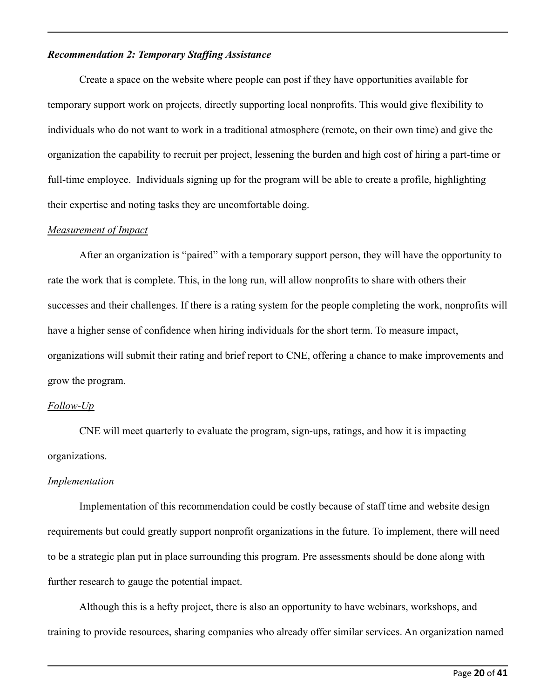## *Recommendation 2: Temporary Staffing Assistance*

Create a space on the website where people can post if they have opportunities available for temporary support work on projects, directly supporting local nonprofits. This would give flexibility to individuals who do not want to work in a traditional atmosphere (remote, on their own time) and give the organization the capability to recruit per project, lessening the burden and high cost of hiring a part-time or full-time employee. Individuals signing up for the program will be able to create a profile, highlighting their expertise and noting tasks they are uncomfortable doing.

### *Measurement of Impact*

After an organization is "paired" with a temporary support person, they will have the opportunity to rate the work that is complete. This, in the long run, will allow nonprofits to share with others their successes and their challenges. If there is a rating system for the people completing the work, nonprofits will have a higher sense of confidence when hiring individuals for the short term. To measure impact, organizations will submit their rating and brief report to CNE, offering a chance to make improvements and grow the program.

## *Follow-Up*

CNE will meet quarterly to evaluate the program, sign-ups, ratings, and how it is impacting organizations.

### *Implementation*

Implementation of this recommendation could be costly because of staff time and website design requirements but could greatly support nonprofit organizations in the future. To implement, there will need to be a strategic plan put in place surrounding this program. Pre assessments should be done along with further research to gauge the potential impact.

Although this is a hefty project, there is also an opportunity to have webinars, workshops, and training to provide resources, sharing companies who already offer similar services. An organization named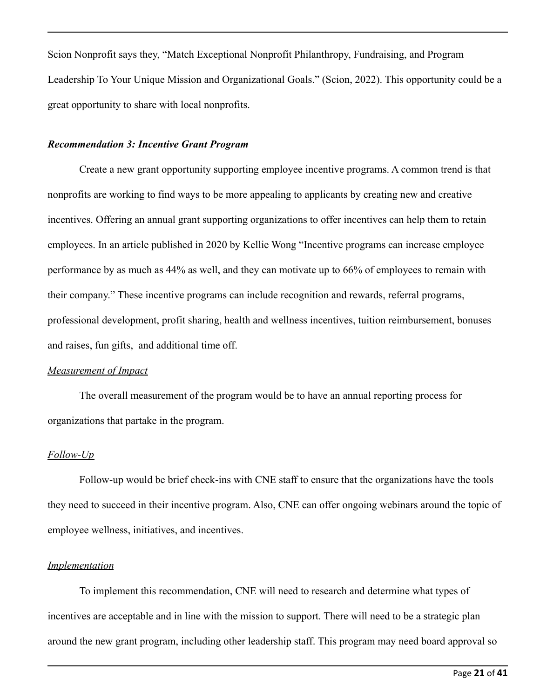Scion Nonprofit says they, "Match Exceptional Nonprofit Philanthropy, Fundraising, and Program Leadership To Your Unique Mission and Organizational Goals." (Scion, 2022). This opportunity could be a great opportunity to share with local nonprofits.

## *Recommendation 3: Incentive Grant Program*

Create a new grant opportunity supporting employee incentive programs. A common trend is that nonprofits are working to find ways to be more appealing to applicants by creating new and creative incentives. Offering an annual grant supporting organizations to offer incentives can help them to retain employees. In an article published in 2020 by Kellie Wong "Incentive programs can increase employee performance by as much as 44% as well, and they can motivate up to 66% of employees to remain with their company." These incentive programs can include recognition and rewards, referral programs, professional development, profit sharing, health and wellness incentives, tuition reimbursement, bonuses and raises, fun gifts, and additional time off.

### *Measurement of Impact*

The overall measurement of the program would be to have an annual reporting process for organizations that partake in the program.

### *Follow-Up*

Follow-up would be brief check-ins with CNE staff to ensure that the organizations have the tools they need to succeed in their incentive program. Also, CNE can offer ongoing webinars around the topic of employee wellness, initiatives, and incentives.

## *Implementation*

To implement this recommendation, CNE will need to research and determine what types of incentives are acceptable and in line with the mission to support. There will need to be a strategic plan around the new grant program, including other leadership staff. This program may need board approval so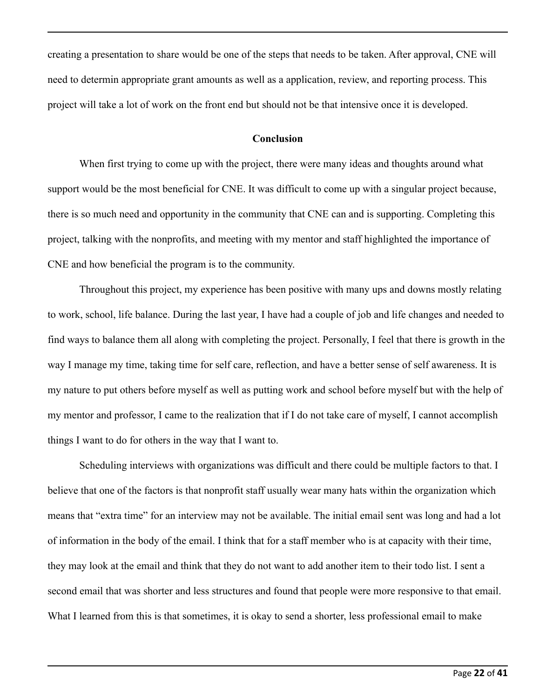creating a presentation to share would be one of the steps that needs to be taken. After approval, CNE will need to determin appropriate grant amounts as well as a application, review, and reporting process. This project will take a lot of work on the front end but should not be that intensive once it is developed.

### **Conclusion**

When first trying to come up with the project, there were many ideas and thoughts around what support would be the most beneficial for CNE. It was difficult to come up with a singular project because, there is so much need and opportunity in the community that CNE can and is supporting. Completing this project, talking with the nonprofits, and meeting with my mentor and staff highlighted the importance of CNE and how beneficial the program is to the community.

Throughout this project, my experience has been positive with many ups and downs mostly relating to work, school, life balance. During the last year, I have had a couple of job and life changes and needed to find ways to balance them all along with completing the project. Personally, I feel that there is growth in the way I manage my time, taking time for self care, reflection, and have a better sense of self awareness. It is my nature to put others before myself as well as putting work and school before myself but with the help of my mentor and professor, I came to the realization that if I do not take care of myself, I cannot accomplish things I want to do for others in the way that I want to.

Scheduling interviews with organizations was difficult and there could be multiple factors to that. I believe that one of the factors is that nonprofit staff usually wear many hats within the organization which means that "extra time" for an interview may not be available. The initial email sent was long and had a lot of information in the body of the email. I think that for a staff member who is at capacity with their time, they may look at the email and think that they do not want to add another item to their todo list. I sent a second email that was shorter and less structures and found that people were more responsive to that email. What I learned from this is that sometimes, it is okay to send a shorter, less professional email to make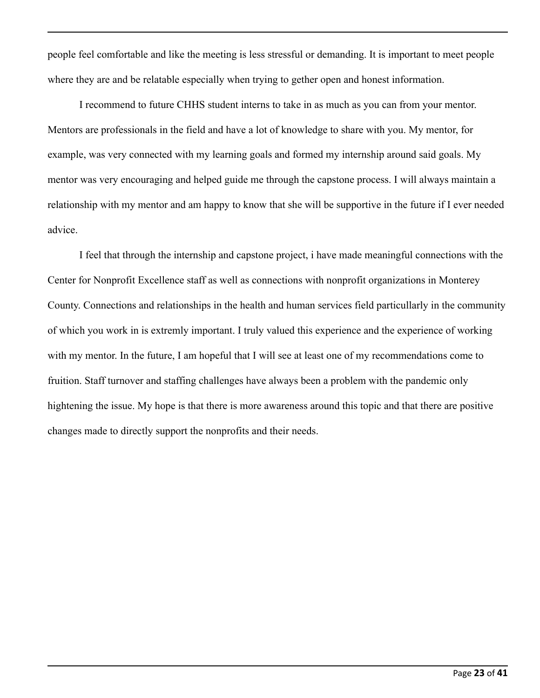people feel comfortable and like the meeting is less stressful or demanding. It is important to meet people where they are and be relatable especially when trying to gether open and honest information.

I recommend to future CHHS student interns to take in as much as you can from your mentor. Mentors are professionals in the field and have a lot of knowledge to share with you. My mentor, for example, was very connected with my learning goals and formed my internship around said goals. My mentor was very encouraging and helped guide me through the capstone process. I will always maintain a relationship with my mentor and am happy to know that she will be supportive in the future if I ever needed advice.

I feel that through the internship and capstone project, i have made meaningful connections with the Center for Nonprofit Excellence staff as well as connections with nonprofit organizations in Monterey County. Connections and relationships in the health and human services field particullarly in the community of which you work in is extremly important. I truly valued this experience and the experience of working with my mentor. In the future, I am hopeful that I will see at least one of my recommendations come to fruition. Staff turnover and staffing challenges have always been a problem with the pandemic only hightening the issue. My hope is that there is more awareness around this topic and that there are positive changes made to directly support the nonprofits and their needs.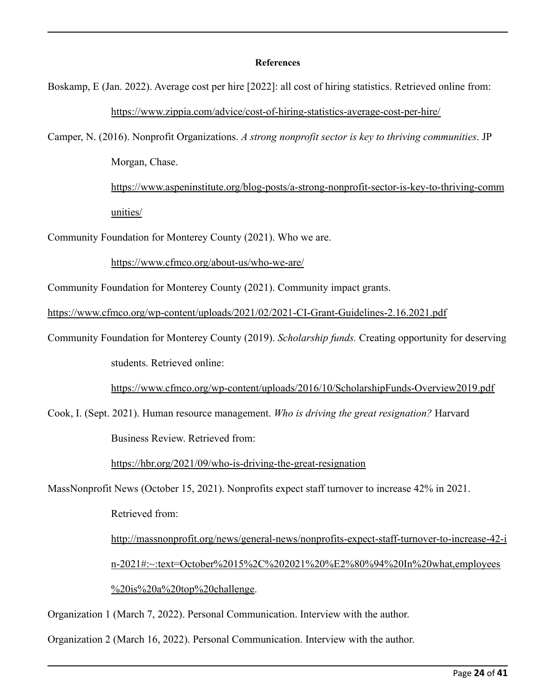#### **References**

- Boskamp, E (Jan. 2022). Average cost per hire [2022]: all cost of hiring statistics. Retrieved online from: <https://www.zippia.com/advice/cost-of-hiring-statistics-average-cost-per-hire/>
- Camper, N. (2016). Nonprofit Organizations. *A strong nonprofit sector is key to thriving communities*. JP Morgan, Chase.

[https://www.aspeninstitute.org/blog-posts/a-strong-nonprofit-sector-is-key-to-thriving-comm](https://www.aspeninstitute.org/blog-posts/a-strong-nonprofit-sector-is-key-to-thriving-communities/) [unities/](https://www.aspeninstitute.org/blog-posts/a-strong-nonprofit-sector-is-key-to-thriving-communities/)

Community Foundation for Monterey County (2021). Who we are.

<https://www.cfmco.org/about-us/who-we-are/>

Community Foundation for Monterey County (2021). Community impact grants.

<https://www.cfmco.org/wp-content/uploads/2021/02/2021-CI-Grant-Guidelines-2.16.2021.pdf>

Community Foundation for Monterey County (2019). *Scholarship funds.* Creating opportunity for deserving students. Retrieved online:

<https://www.cfmco.org/wp-content/uploads/2016/10/ScholarshipFunds-Overview2019.pdf>

Cook, I. (Sept. 2021). Human resource management. *Who is driving the great resignation?* Harvard Business Review. Retrieved from:

<https://hbr.org/2021/09/who-is-driving-the-great-resignation>

MassNonprofit News (October 15, 2021). Nonprofits expect staff turnover to increase 42% in 2021.

Retrieved from:

[http://massnonprofit.org/news/general-news/nonprofits-expect-staff-turnover-to-increase-42-i](http://massnonprofit.org/news/general-news/nonprofits-expect-staff-turnover-to-increase-42-in-2021#:~:text=October%2015%2C%202021%20%E2%80%94%20In%20what,employees%20is%20a%20top%20challenge) [n-2021#:~:text=October%2015%2C%202021%20%E2%80%94%20In%20what,employees](http://massnonprofit.org/news/general-news/nonprofits-expect-staff-turnover-to-increase-42-in-2021#:~:text=October%2015%2C%202021%20%E2%80%94%20In%20what,employees%20is%20a%20top%20challenge) [%20is%20a%20top%20challenge.](http://massnonprofit.org/news/general-news/nonprofits-expect-staff-turnover-to-increase-42-in-2021#:~:text=October%2015%2C%202021%20%E2%80%94%20In%20what,employees%20is%20a%20top%20challenge)

Organization 1 (March 7, 2022). Personal Communication. Interview with the author.

Organization 2 (March 16, 2022). Personal Communication. Interview with the author.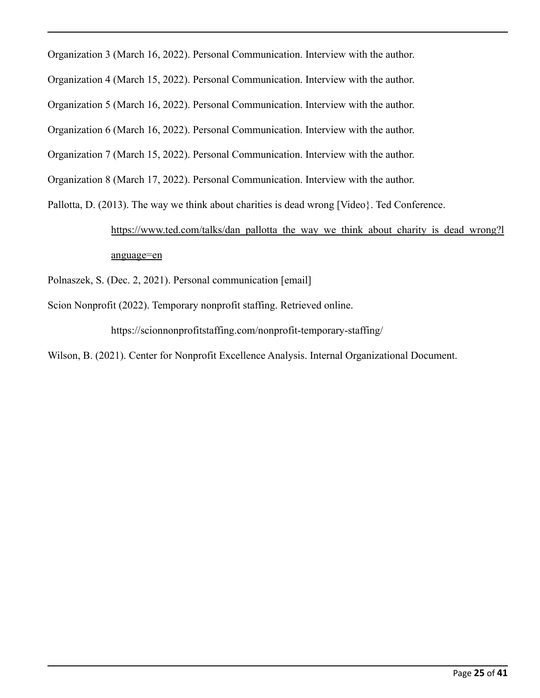Organization 3 (March 16, 2022). Personal Communication. Interview with the author.

Organization 4 (March 15, 2022). Personal Communication. Interview with the author.

Organization 5 (March 16, 2022). Personal Communication. Interview with the author.

Organization 6 (March 16, 2022). Personal Communication. Interview with the author.

Organization 7 (March 15, 2022). Personal Communication. Interview with the author.

Organization 8 (March 17, 2022). Personal Communication. Interview with the author.

Pallotta, D. (2013). The way we think about charities is dead wrong [Video}. Ted Conference.

## [https://www.ted.com/talks/dan\\_pallotta\\_the\\_way\\_we\\_think\\_about\\_charity\\_is\\_dead\\_wrong?l](https://www.ted.com/talks/dan_pallotta_the_way_we_think_about_charity_is_dead_wrong?language=en) [anguage=en](https://www.ted.com/talks/dan_pallotta_the_way_we_think_about_charity_is_dead_wrong?language=en)

Polnaszek, S. (Dec. 2, 2021). Personal communication [email]

Scion Nonprofit (2022). Temporary nonprofit staffing. Retrieved online.

https://scionnonprofitstaffing.com/nonprofit-temporary-staffing/

Wilson, B. (2021). Center for Nonprofit Excellence Analysis. Internal Organizational Document.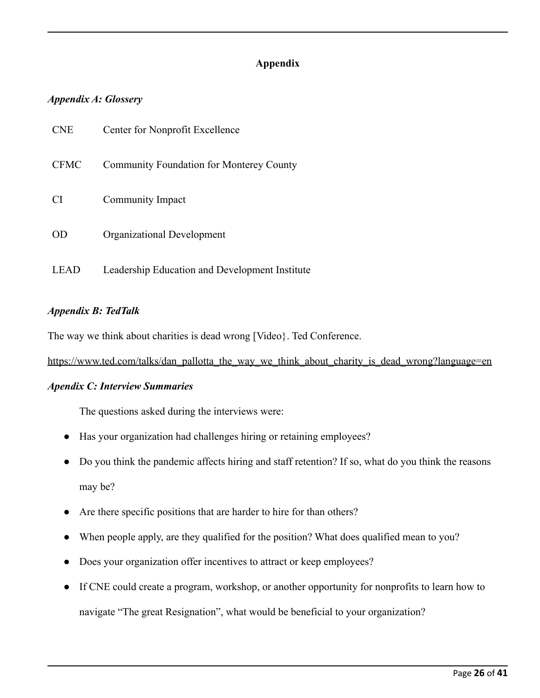## **Appendix**

## *Appendix A: Glossery*

| <b>CNE</b>  | Center for Nonprofit Excellence                 |
|-------------|-------------------------------------------------|
| <b>CFMC</b> | <b>Community Foundation for Monterey County</b> |
| <b>CI</b>   | Community Impact                                |
| OD          | Organizational Development                      |
| EAD         | Leadership Education and Development Institute  |

## *Appendix B: TedTalk*

The way we think about charities is dead wrong [Video}. Ted Conference.

[https://www.ted.com/talks/dan\\_pallotta\\_the\\_way\\_we\\_think\\_about\\_charity\\_is\\_dead\\_wrong?language=en](https://www.ted.com/talks/dan_pallotta_the_way_we_think_about_charity_is_dead_wrong?language=en)

## *Apendix C: Interview Summaries*

The questions asked during the interviews were:

- Has your organization had challenges hiring or retaining employees?
- Do you think the pandemic affects hiring and staff retention? If so, what do you think the reasons may be?
- Are there specific positions that are harder to hire for than others?
- When people apply, are they qualified for the position? What does qualified mean to you?
- Does your organization offer incentives to attract or keep employees?
- If CNE could create a program, workshop, or another opportunity for nonprofits to learn how to navigate "The great Resignation", what would be beneficial to your organization?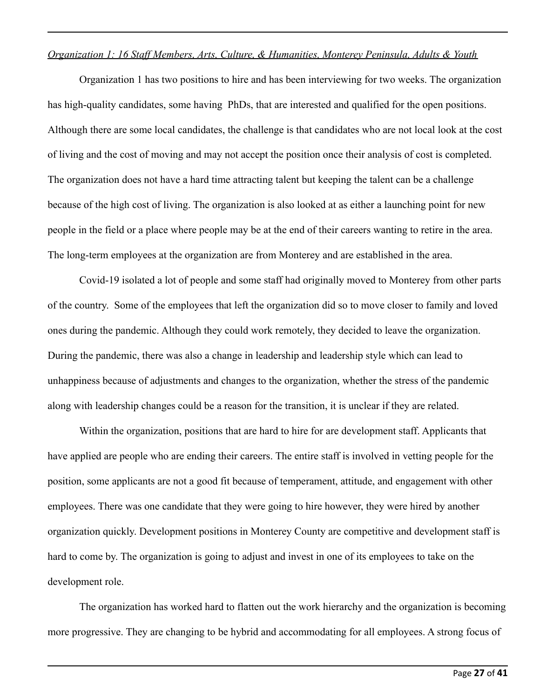### *Organization 1: 16 Staff Members, Arts, Culture, & Humanities, Monterey Peninsula, Adults & Youth*

Organization 1 has two positions to hire and has been interviewing for two weeks. The organization has high-quality candidates, some having PhDs, that are interested and qualified for the open positions. Although there are some local candidates, the challenge is that candidates who are not local look at the cost of living and the cost of moving and may not accept the position once their analysis of cost is completed. The organization does not have a hard time attracting talent but keeping the talent can be a challenge because of the high cost of living. The organization is also looked at as either a launching point for new people in the field or a place where people may be at the end of their careers wanting to retire in the area. The long-term employees at the organization are from Monterey and are established in the area.

Covid-19 isolated a lot of people and some staff had originally moved to Monterey from other parts of the country. Some of the employees that left the organization did so to move closer to family and loved ones during the pandemic. Although they could work remotely, they decided to leave the organization. During the pandemic, there was also a change in leadership and leadership style which can lead to unhappiness because of adjustments and changes to the organization, whether the stress of the pandemic along with leadership changes could be a reason for the transition, it is unclear if they are related.

Within the organization, positions that are hard to hire for are development staff. Applicants that have applied are people who are ending their careers. The entire staff is involved in vetting people for the position, some applicants are not a good fit because of temperament, attitude, and engagement with other employees. There was one candidate that they were going to hire however, they were hired by another organization quickly. Development positions in Monterey County are competitive and development staff is hard to come by. The organization is going to adjust and invest in one of its employees to take on the development role.

The organization has worked hard to flatten out the work hierarchy and the organization is becoming more progressive. They are changing to be hybrid and accommodating for all employees. A strong focus of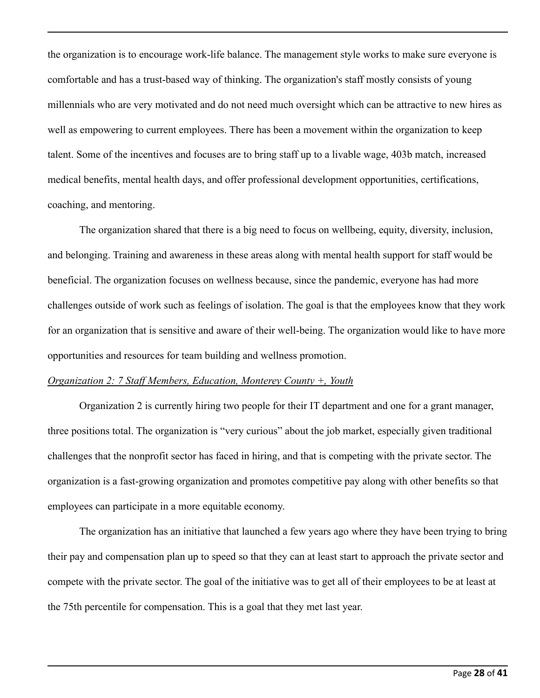the organization is to encourage work-life balance. The management style works to make sure everyone is comfortable and has a trust-based way of thinking. The organization's staff mostly consists of young millennials who are very motivated and do not need much oversight which can be attractive to new hires as well as empowering to current employees. There has been a movement within the organization to keep talent. Some of the incentives and focuses are to bring staff up to a livable wage, 403b match, increased medical benefits, mental health days, and offer professional development opportunities, certifications, coaching, and mentoring.

The organization shared that there is a big need to focus on wellbeing, equity, diversity, inclusion, and belonging. Training and awareness in these areas along with mental health support for staff would be beneficial. The organization focuses on wellness because, since the pandemic, everyone has had more challenges outside of work such as feelings of isolation. The goal is that the employees know that they work for an organization that is sensitive and aware of their well-being. The organization would like to have more opportunities and resources for team building and wellness promotion.

## *Organization 2: 7 Staff Members, Education, Monterey County +, Youth*

Organization 2 is currently hiring two people for their IT department and one for a grant manager, three positions total. The organization is "very curious" about the job market, especially given traditional challenges that the nonprofit sector has faced in hiring, and that is competing with the private sector. The organization is a fast-growing organization and promotes competitive pay along with other benefits so that employees can participate in a more equitable economy.

The organization has an initiative that launched a few years ago where they have been trying to bring their pay and compensation plan up to speed so that they can at least start to approach the private sector and compete with the private sector. The goal of the initiative was to get all of their employees to be at least at the 75th percentile for compensation. This is a goal that they met last year.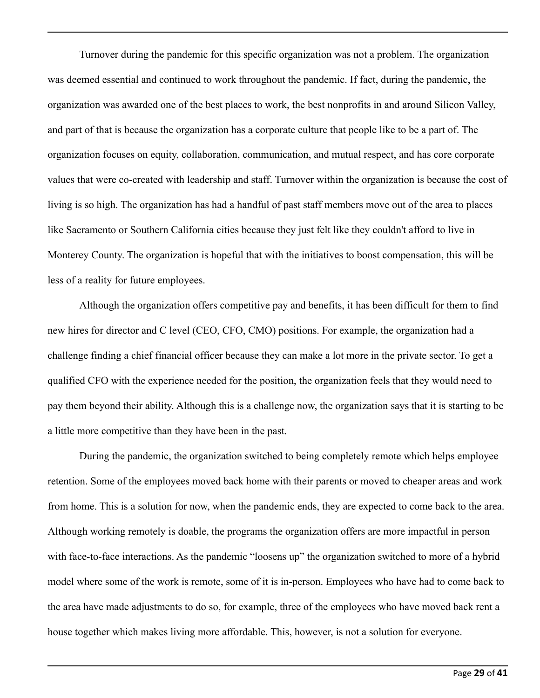Turnover during the pandemic for this specific organization was not a problem. The organization was deemed essential and continued to work throughout the pandemic. If fact, during the pandemic, the organization was awarded one of the best places to work, the best nonprofits in and around Silicon Valley, and part of that is because the organization has a corporate culture that people like to be a part of. The organization focuses on equity, collaboration, communication, and mutual respect, and has core corporate values that were co-created with leadership and staff. Turnover within the organization is because the cost of living is so high. The organization has had a handful of past staff members move out of the area to places like Sacramento or Southern California cities because they just felt like they couldn't afford to live in Monterey County. The organization is hopeful that with the initiatives to boost compensation, this will be less of a reality for future employees.

Although the organization offers competitive pay and benefits, it has been difficult for them to find new hires for director and C level (CEO, CFO, CMO) positions. For example, the organization had a challenge finding a chief financial officer because they can make a lot more in the private sector. To get a qualified CFO with the experience needed for the position, the organization feels that they would need to pay them beyond their ability. Although this is a challenge now, the organization says that it is starting to be a little more competitive than they have been in the past.

During the pandemic, the organization switched to being completely remote which helps employee retention. Some of the employees moved back home with their parents or moved to cheaper areas and work from home. This is a solution for now, when the pandemic ends, they are expected to come back to the area. Although working remotely is doable, the programs the organization offers are more impactful in person with face-to-face interactions. As the pandemic "loosens up" the organization switched to more of a hybrid model where some of the work is remote, some of it is in-person. Employees who have had to come back to the area have made adjustments to do so, for example, three of the employees who have moved back rent a house together which makes living more affordable. This, however, is not a solution for everyone.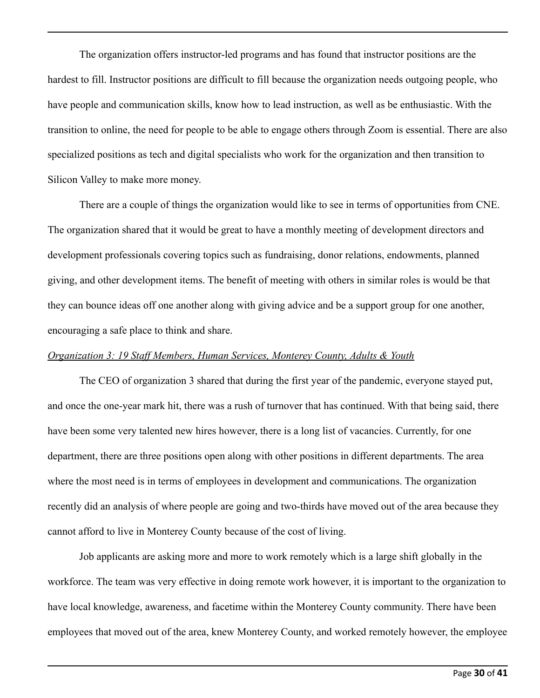The organization offers instructor-led programs and has found that instructor positions are the hardest to fill. Instructor positions are difficult to fill because the organization needs outgoing people, who have people and communication skills, know how to lead instruction, as well as be enthusiastic. With the transition to online, the need for people to be able to engage others through Zoom is essential. There are also specialized positions as tech and digital specialists who work for the organization and then transition to Silicon Valley to make more money.

There are a couple of things the organization would like to see in terms of opportunities from CNE. The organization shared that it would be great to have a monthly meeting of development directors and development professionals covering topics such as fundraising, donor relations, endowments, planned giving, and other development items. The benefit of meeting with others in similar roles is would be that they can bounce ideas off one another along with giving advice and be a support group for one another, encouraging a safe place to think and share.

#### *Organization 3: 19 Staff Members, Human Services, Monterey County, Adults & Youth*

The CEO of organization 3 shared that during the first year of the pandemic, everyone stayed put, and once the one-year mark hit, there was a rush of turnover that has continued. With that being said, there have been some very talented new hires however, there is a long list of vacancies. Currently, for one department, there are three positions open along with other positions in different departments. The area where the most need is in terms of employees in development and communications. The organization recently did an analysis of where people are going and two-thirds have moved out of the area because they cannot afford to live in Monterey County because of the cost of living.

Job applicants are asking more and more to work remotely which is a large shift globally in the workforce. The team was very effective in doing remote work however, it is important to the organization to have local knowledge, awareness, and facetime within the Monterey County community. There have been employees that moved out of the area, knew Monterey County, and worked remotely however, the employee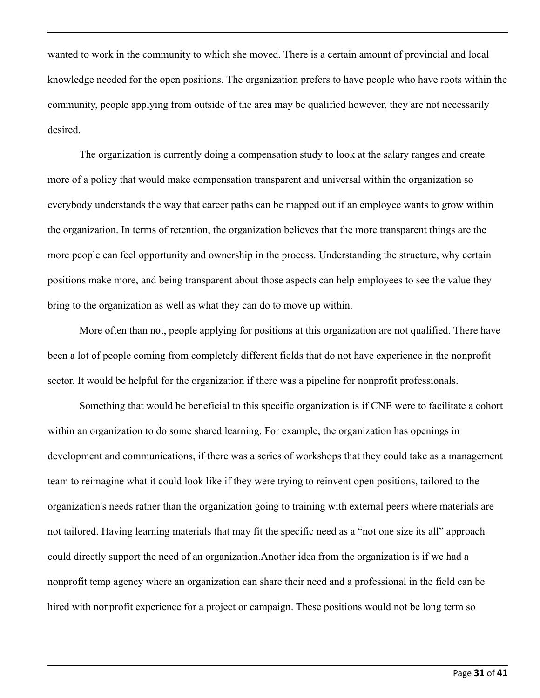wanted to work in the community to which she moved. There is a certain amount of provincial and local knowledge needed for the open positions. The organization prefers to have people who have roots within the community, people applying from outside of the area may be qualified however, they are not necessarily desired.

The organization is currently doing a compensation study to look at the salary ranges and create more of a policy that would make compensation transparent and universal within the organization so everybody understands the way that career paths can be mapped out if an employee wants to grow within the organization. In terms of retention, the organization believes that the more transparent things are the more people can feel opportunity and ownership in the process. Understanding the structure, why certain positions make more, and being transparent about those aspects can help employees to see the value they bring to the organization as well as what they can do to move up within.

More often than not, people applying for positions at this organization are not qualified. There have been a lot of people coming from completely different fields that do not have experience in the nonprofit sector. It would be helpful for the organization if there was a pipeline for nonprofit professionals.

Something that would be beneficial to this specific organization is if CNE were to facilitate a cohort within an organization to do some shared learning. For example, the organization has openings in development and communications, if there was a series of workshops that they could take as a management team to reimagine what it could look like if they were trying to reinvent open positions, tailored to the organization's needs rather than the organization going to training with external peers where materials are not tailored. Having learning materials that may fit the specific need as a "not one size its all" approach could directly support the need of an organization.Another idea from the organization is if we had a nonprofit temp agency where an organization can share their need and a professional in the field can be hired with nonprofit experience for a project or campaign. These positions would not be long term so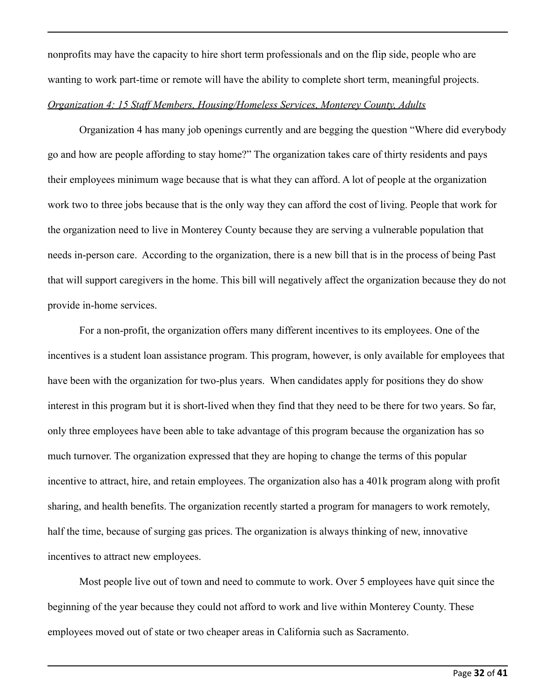nonprofits may have the capacity to hire short term professionals and on the flip side, people who are wanting to work part-time or remote will have the ability to complete short term, meaningful projects. *Organization 4: 15 Staff Members, Housing/Homeless Services, Monterey County, Adults*

Organization 4 has many job openings currently and are begging the question "Where did everybody go and how are people affording to stay home?" The organization takes care of thirty residents and pays their employees minimum wage because that is what they can afford. A lot of people at the organization work two to three jobs because that is the only way they can afford the cost of living. People that work for the organization need to live in Monterey County because they are serving a vulnerable population that needs in-person care. According to the organization, there is a new bill that is in the process of being Past that will support caregivers in the home. This bill will negatively affect the organization because they do not provide in-home services.

For a non-profit, the organization offers many different incentives to its employees. One of the incentives is a student loan assistance program. This program, however, is only available for employees that have been with the organization for two-plus years. When candidates apply for positions they do show interest in this program but it is short-lived when they find that they need to be there for two years. So far, only three employees have been able to take advantage of this program because the organization has so much turnover. The organization expressed that they are hoping to change the terms of this popular incentive to attract, hire, and retain employees. The organization also has a 401k program along with profit sharing, and health benefits. The organization recently started a program for managers to work remotely, half the time, because of surging gas prices. The organization is always thinking of new, innovative incentives to attract new employees.

Most people live out of town and need to commute to work. Over 5 employees have quit since the beginning of the year because they could not afford to work and live within Monterey County. These employees moved out of state or two cheaper areas in California such as Sacramento.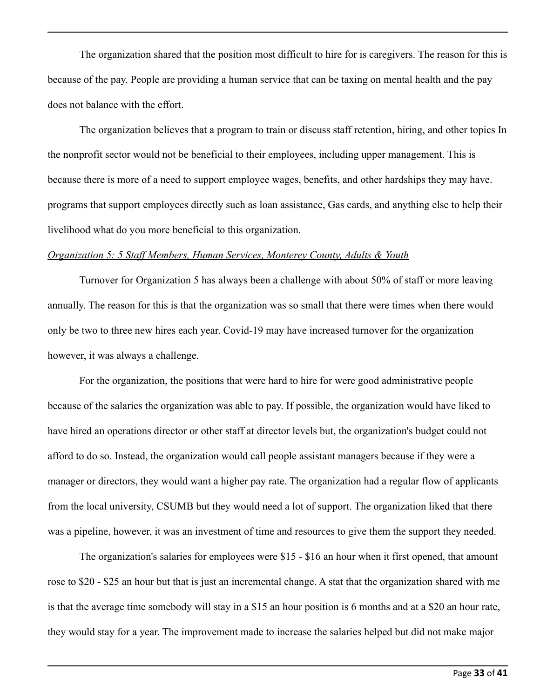The organization shared that the position most difficult to hire for is caregivers. The reason for this is because of the pay. People are providing a human service that can be taxing on mental health and the pay does not balance with the effort.

The organization believes that a program to train or discuss staff retention, hiring, and other topics In the nonprofit sector would not be beneficial to their employees, including upper management. This is because there is more of a need to support employee wages, benefits, and other hardships they may have. programs that support employees directly such as loan assistance, Gas cards, and anything else to help their livelihood what do you more beneficial to this organization.

#### *Organization 5: 5 Staff Members, Human Services, Monterey County, Adults & Youth*

Turnover for Organization 5 has always been a challenge with about 50% of staff or more leaving annually. The reason for this is that the organization was so small that there were times when there would only be two to three new hires each year. Covid-19 may have increased turnover for the organization however, it was always a challenge.

For the organization, the positions that were hard to hire for were good administrative people because of the salaries the organization was able to pay. If possible, the organization would have liked to have hired an operations director or other staff at director levels but, the organization's budget could not afford to do so. Instead, the organization would call people assistant managers because if they were a manager or directors, they would want a higher pay rate. The organization had a regular flow of applicants from the local university, CSUMB but they would need a lot of support. The organization liked that there was a pipeline, however, it was an investment of time and resources to give them the support they needed.

The organization's salaries for employees were \$15 - \$16 an hour when it first opened, that amount rose to \$20 - \$25 an hour but that is just an incremental change. A stat that the organization shared with me is that the average time somebody will stay in a \$15 an hour position is 6 months and at a \$20 an hour rate, they would stay for a year. The improvement made to increase the salaries helped but did not make major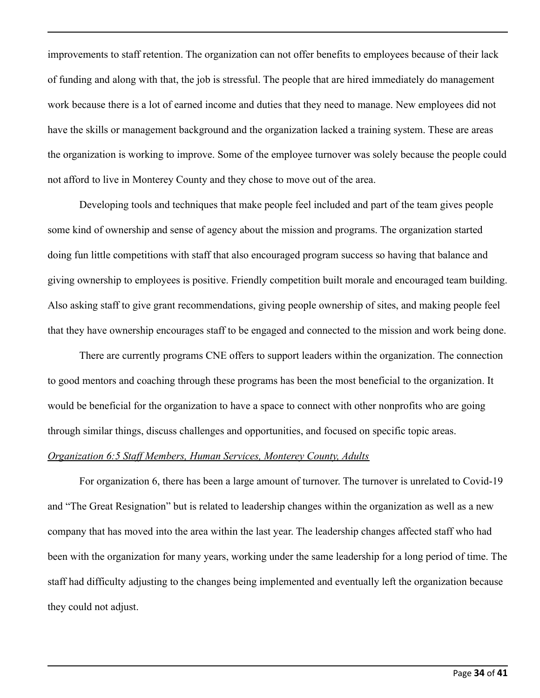improvements to staff retention. The organization can not offer benefits to employees because of their lack of funding and along with that, the job is stressful. The people that are hired immediately do management work because there is a lot of earned income and duties that they need to manage. New employees did not have the skills or management background and the organization lacked a training system. These are areas the organization is working to improve. Some of the employee turnover was solely because the people could not afford to live in Monterey County and they chose to move out of the area.

Developing tools and techniques that make people feel included and part of the team gives people some kind of ownership and sense of agency about the mission and programs. The organization started doing fun little competitions with staff that also encouraged program success so having that balance and giving ownership to employees is positive. Friendly competition built morale and encouraged team building. Also asking staff to give grant recommendations, giving people ownership of sites, and making people feel that they have ownership encourages staff to be engaged and connected to the mission and work being done.

There are currently programs CNE offers to support leaders within the organization. The connection to good mentors and coaching through these programs has been the most beneficial to the organization. It would be beneficial for the organization to have a space to connect with other nonprofits who are going through similar things, discuss challenges and opportunities, and focused on specific topic areas.

#### *Organization 6:5 Staff Members, Human Services, Monterey County, Adults*

For organization 6, there has been a large amount of turnover. The turnover is unrelated to Covid-19 and "The Great Resignation" but is related to leadership changes within the organization as well as a new company that has moved into the area within the last year. The leadership changes affected staff who had been with the organization for many years, working under the same leadership for a long period of time. The staff had difficulty adjusting to the changes being implemented and eventually left the organization because they could not adjust.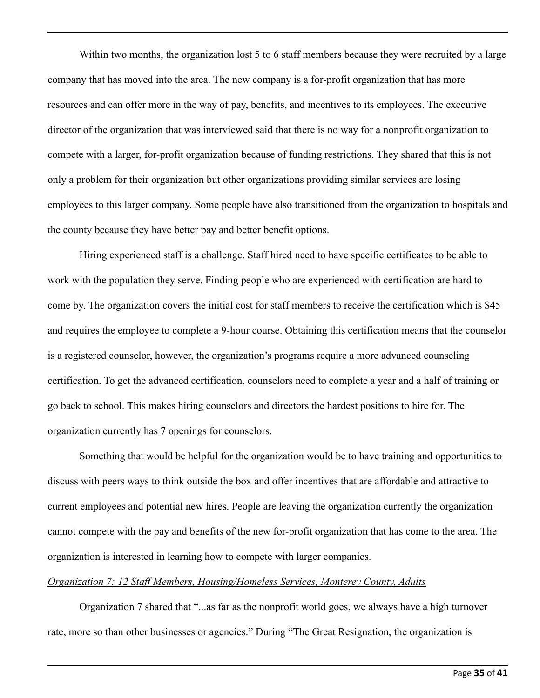Within two months, the organization lost 5 to 6 staff members because they were recruited by a large company that has moved into the area. The new company is a for-profit organization that has more resources and can offer more in the way of pay, benefits, and incentives to its employees. The executive director of the organization that was interviewed said that there is no way for a nonprofit organization to compete with a larger, for-profit organization because of funding restrictions. They shared that this is not only a problem for their organization but other organizations providing similar services are losing employees to this larger company. Some people have also transitioned from the organization to hospitals and the county because they have better pay and better benefit options.

Hiring experienced staff is a challenge. Staff hired need to have specific certificates to be able to work with the population they serve. Finding people who are experienced with certification are hard to come by. The organization covers the initial cost for staff members to receive the certification which is \$45 and requires the employee to complete a 9-hour course. Obtaining this certification means that the counselor is a registered counselor, however, the organization's programs require a more advanced counseling certification. To get the advanced certification, counselors need to complete a year and a half of training or go back to school. This makes hiring counselors and directors the hardest positions to hire for. The organization currently has 7 openings for counselors.

Something that would be helpful for the organization would be to have training and opportunities to discuss with peers ways to think outside the box and offer incentives that are affordable and attractive to current employees and potential new hires. People are leaving the organization currently the organization cannot compete with the pay and benefits of the new for-profit organization that has come to the area. The organization is interested in learning how to compete with larger companies.

### *Organization 7: 12 Staff Members, Housing/Homeless Services, Monterey County, Adults*

Organization 7 shared that "...as far as the nonprofit world goes, we always have a high turnover rate, more so than other businesses or agencies." During "The Great Resignation, the organization is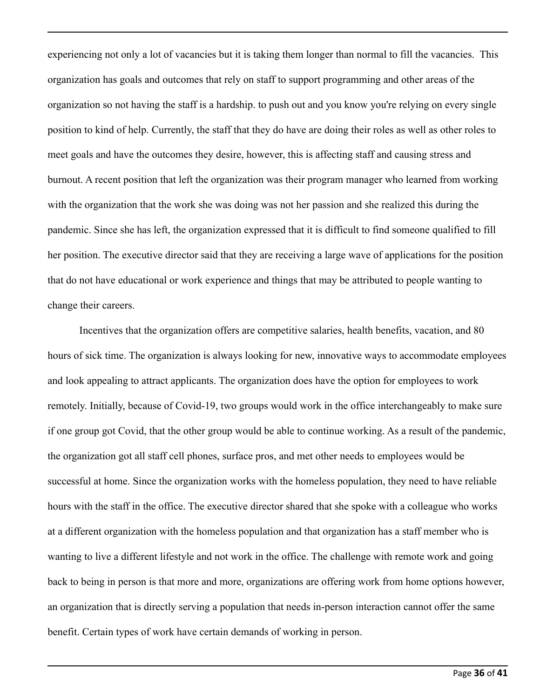experiencing not only a lot of vacancies but it is taking them longer than normal to fill the vacancies. This organization has goals and outcomes that rely on staff to support programming and other areas of the organization so not having the staff is a hardship. to push out and you know you're relying on every single position to kind of help. Currently, the staff that they do have are doing their roles as well as other roles to meet goals and have the outcomes they desire, however, this is affecting staff and causing stress and burnout. A recent position that left the organization was their program manager who learned from working with the organization that the work she was doing was not her passion and she realized this during the pandemic. Since she has left, the organization expressed that it is difficult to find someone qualified to fill her position. The executive director said that they are receiving a large wave of applications for the position that do not have educational or work experience and things that may be attributed to people wanting to change their careers.

Incentives that the organization offers are competitive salaries, health benefits, vacation, and 80 hours of sick time. The organization is always looking for new, innovative ways to accommodate employees and look appealing to attract applicants. The organization does have the option for employees to work remotely. Initially, because of Covid-19, two groups would work in the office interchangeably to make sure if one group got Covid, that the other group would be able to continue working. As a result of the pandemic, the organization got all staff cell phones, surface pros, and met other needs to employees would be successful at home. Since the organization works with the homeless population, they need to have reliable hours with the staff in the office. The executive director shared that she spoke with a colleague who works at a different organization with the homeless population and that organization has a staff member who is wanting to live a different lifestyle and not work in the office. The challenge with remote work and going back to being in person is that more and more, organizations are offering work from home options however, an organization that is directly serving a population that needs in-person interaction cannot offer the same benefit. Certain types of work have certain demands of working in person.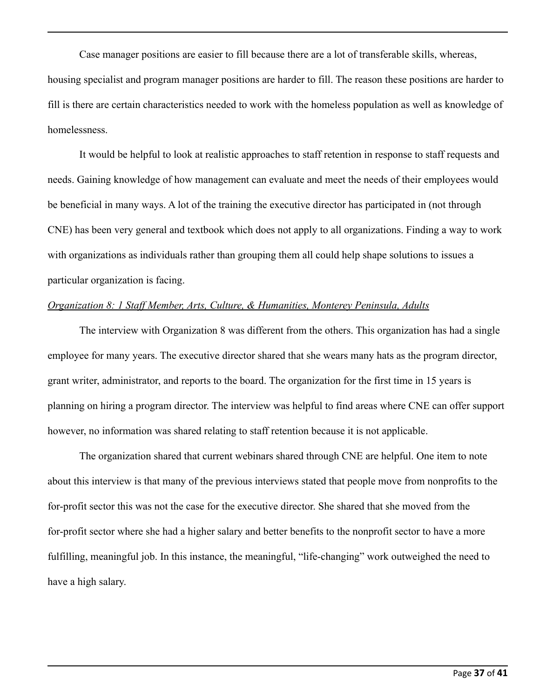Case manager positions are easier to fill because there are a lot of transferable skills, whereas, housing specialist and program manager positions are harder to fill. The reason these positions are harder to fill is there are certain characteristics needed to work with the homeless population as well as knowledge of homelessness.

It would be helpful to look at realistic approaches to staff retention in response to staff requests and needs. Gaining knowledge of how management can evaluate and meet the needs of their employees would be beneficial in many ways. A lot of the training the executive director has participated in (not through CNE) has been very general and textbook which does not apply to all organizations. Finding a way to work with organizations as individuals rather than grouping them all could help shape solutions to issues a particular organization is facing.

### *Organization 8: 1 Staff Member, Arts, Culture, & Humanities, Monterey Peninsula, Adults*

The interview with Organization 8 was different from the others. This organization has had a single employee for many years. The executive director shared that she wears many hats as the program director, grant writer, administrator, and reports to the board. The organization for the first time in 15 years is planning on hiring a program director. The interview was helpful to find areas where CNE can offer support however, no information was shared relating to staff retention because it is not applicable.

The organization shared that current webinars shared through CNE are helpful. One item to note about this interview is that many of the previous interviews stated that people move from nonprofits to the for-profit sector this was not the case for the executive director. She shared that she moved from the for-profit sector where she had a higher salary and better benefits to the nonprofit sector to have a more fulfilling, meaningful job. In this instance, the meaningful, "life-changing" work outweighed the need to have a high salary.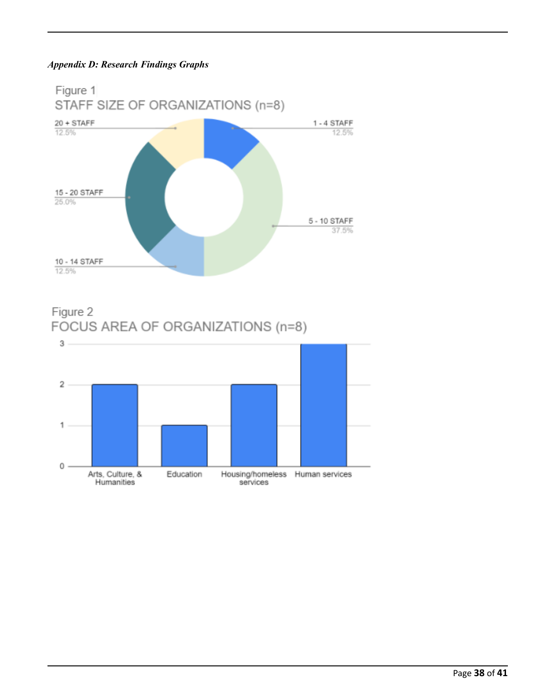## *Appendix D: Research Findings Graphs*



Figure 2 FOCUS AREA OF ORGANIZATIONS (n=8)

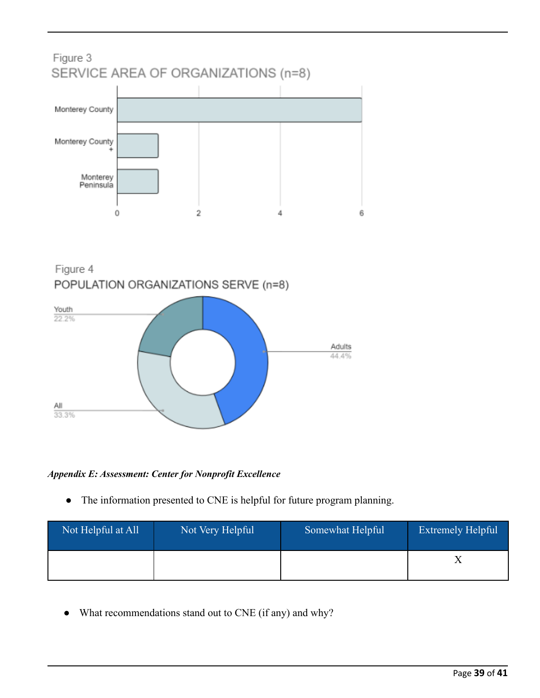## Figure 3 SERVICE AREA OF ORGANIZATIONS (n=8)



Figure 4 POPULATION ORGANIZATIONS SERVE (n=8)



## *Appendix E: Assessment: Center for Nonprofit Excellence*

● The information presented to CNE is helpful for future program planning.

| Not Helpful at All | Not Very Helpful | Somewhat Helpful | <b>Extremely Helpful</b> |
|--------------------|------------------|------------------|--------------------------|
|                    |                  |                  |                          |

• What recommendations stand out to CNE (if any) and why?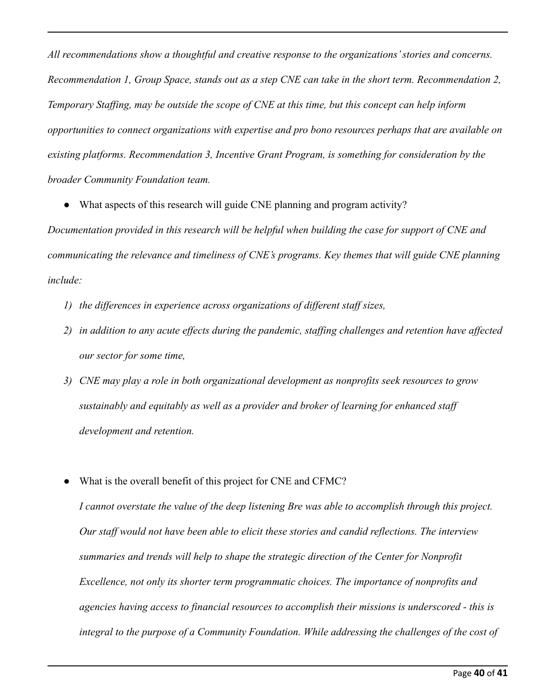*All recommendations show a thoughtful and creative response to the organizations' stories and concerns. Recommendation 1, Group Space, stands out as a step CNE can take in the short term. Recommendation 2, Temporary Staffing, may be outside the scope of CNE at this time, but this concept can help inform opportunities to connect organizations with expertise and pro bono resources perhaps that are available on existing platforms. Recommendation 3, Incentive Grant Program, is something for consideration by the broader Community Foundation team.*

• What aspects of this research will guide CNE planning and program activity?

*Documentation provided in this research will be helpful when building the case for support of CNE and communicating the relevance and timeliness of CNE's programs. Key themes that will guide CNE planning include:*

- *1) the differences in experience across organizations of different staff sizes,*
- *2) in addition to any acute effects during the pandemic, staffing challenges and retention have affected our sector for some time,*
- *3) CNE may play a role in both organizational development as nonprofits seek resources to grow sustainably and equitably as well as a provider and broker of learning for enhanced staff development and retention.*
- What is the overall benefit of this project for CNE and CFMC?

*I cannot overstate the value of the deep listening Bre was able to accomplish through this project. Our staff would not have been able to elicit these stories and candid reflections. The interview summaries and trends will help to shape the strategic direction of the Center for Nonprofit Excellence, not only its shorter term programmatic choices. The importance of nonprofits and agencies having access to financial resources to accomplish their missions is underscored - this is integral to the purpose of a Community Foundation. While addressing the challenges of the cost of*